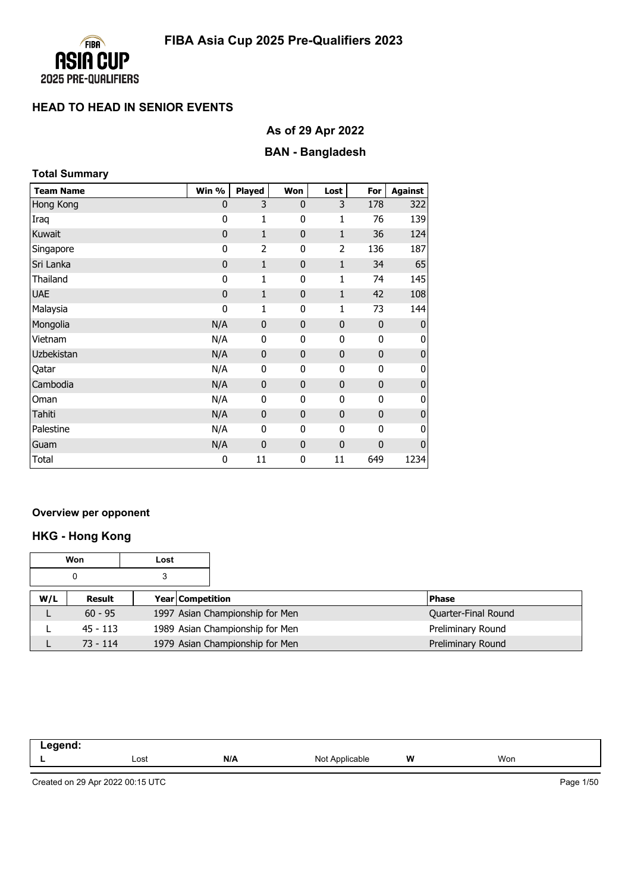

# **As of 29 Apr 2022**

# **BAN - Bangladesh**

| <b>Total Summary</b> |             |                |                |              |              |                  |  |
|----------------------|-------------|----------------|----------------|--------------|--------------|------------------|--|
| <b>Team Name</b>     | Win %       | Played         | Won            | Lost         | For          | <b>Against</b>   |  |
| Hong Kong            | $\mathbf 0$ | 3              | $\mathbf{0}$   | 3            | 178          | 322              |  |
| Iraq                 | 0           | 1              | 0              | 1            | 76           | 139              |  |
| Kuwait               | $\mathbf 0$ | $\mathbf{1}$   | $\mathbf{0}$   | $\mathbf{1}$ | 36           | 124              |  |
| Singapore            | 0           | $\overline{2}$ | 0              | 2            | 136          | 187              |  |
| Sri Lanka            | $\mathbf 0$ | $\mathbf{1}$   | $\overline{0}$ | $\mathbf{1}$ | 34           | 65               |  |
| Thailand             | 0           | 1              | 0              | 1            | 74           | 145              |  |
| <b>UAE</b>           | $\mathbf 0$ | $\mathbf{1}$   | $\mathbf{0}$   | $\mathbf{1}$ | 42           | 108              |  |
| Malaysia             | 0           | 1              | 0              | 1            | 73           | 144              |  |
| Mongolia             | N/A         | $\mathbf 0$    | $\mathbf{0}$   | 0            | $\mathbf{0}$ | 0                |  |
| Vietnam              | N/A         | 0              | 0              | 0            | 0            | 0                |  |
| Uzbekistan           | N/A         | $\mathbf{0}$   | $\mathbf{0}$   | $\mathbf 0$  | $\mathbf 0$  | $\boldsymbol{0}$ |  |
| Qatar                | N/A         | 0              | 0              | 0            | 0            | 0                |  |
| Cambodia             | N/A         | $\mathbf 0$    | $\mathbf{0}$   | $\mathbf 0$  | $\mathbf 0$  | $\pmb{0}$        |  |
| Oman                 | N/A         | 0              | 0              | 0            | 0            | 0                |  |
| Tahiti               | N/A         | $\mathbf{0}$   | $\mathbf{0}$   | $\mathbf 0$  | $\mathbf{0}$ | $\boldsymbol{0}$ |  |
| Palestine            | N/A         | 0              | 0              | 0            | $\mathbf 0$  | 0                |  |
| Guam                 | N/A         | $\mathbf 0$    | $\mathbf{0}$   | 0            | $\mathbf 0$  | $\mathbf 0$      |  |
| Total                | 0           | 11             | 0              | 11           | 649          | 1234             |  |

#### **Overview per opponent**

# **HKG - Hong Kong**

|     | Won        | Lost |                                 |                     |
|-----|------------|------|---------------------------------|---------------------|
|     | 0          | 3    |                                 |                     |
| W/L | Result     |      | <b>Year Competition</b>         | <b>Phase</b>        |
| ட   | $60 - 95$  |      | 1997 Asian Championship for Men | Quarter-Final Round |
|     | $45 - 113$ |      | 1989 Asian Championship for Men | Preliminary Round   |
|     | $73 - 114$ |      | 1979 Asian Championship for Men | Preliminary Round   |

| -----<br>-- 9<br>$\sim$ |      |     |                               |   |     |  |
|-------------------------|------|-----|-------------------------------|---|-----|--|
|                         | Lost | N/A | NΙω<br>аріе<br>,,,,<br>$\sim$ | W | Won |  |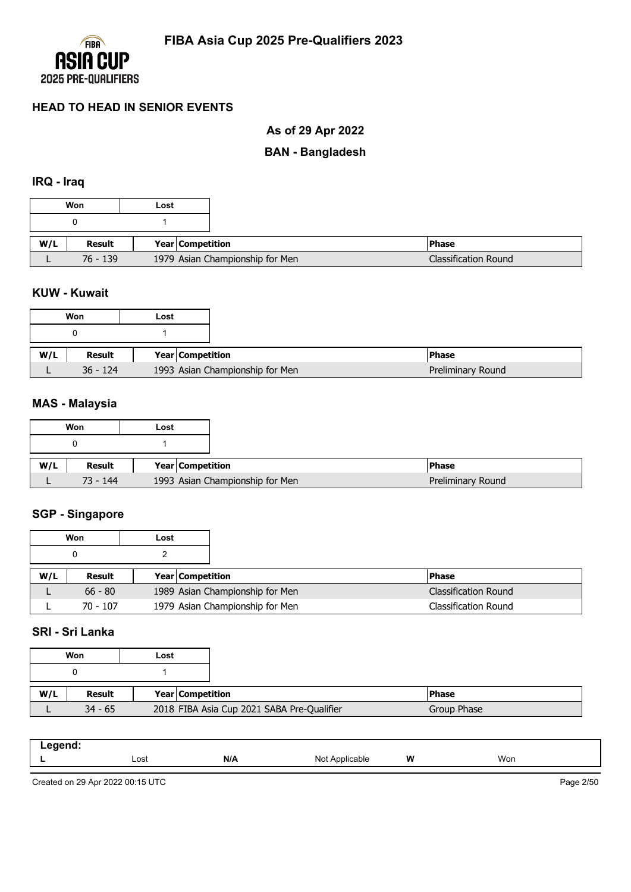

# **As of 29 Apr 2022**

### **BAN - Bangladesh**

#### **IRQ - Iraq**

|     | Won        | Lost                            |
|-----|------------|---------------------------------|
|     |            |                                 |
|     |            |                                 |
| W/L | Result     | Year   Competition              |
|     | $76 - 139$ | 1979 Asian Championship for Men |

#### **KUW - Kuwait**

|     | Won        | Lost |                                 |
|-----|------------|------|---------------------------------|
|     |            |      |                                 |
| W/L | Result     |      | Year Competition                |
|     | $36 - 124$ |      | 1993 Asian Championship for Men |

### **MAS - Malaysia**

|     | Won        | Lost |                                 |                   |
|-----|------------|------|---------------------------------|-------------------|
|     |            |      |                                 |                   |
| W/L | Result     |      | Year Competition                | <b>Phase</b>      |
|     | $73 - 144$ |      | 1993 Asian Championship for Men | Preliminary Round |

#### **SGP - Singapore**

|     | Won        | Lost |                         |                                 |                             |
|-----|------------|------|-------------------------|---------------------------------|-----------------------------|
|     |            |      |                         |                                 |                             |
| W/L | Result     |      | <b>Year Competition</b> |                                 | l Phase                     |
|     | $66 - 80$  |      |                         | 1989 Asian Championship for Men | <b>Classification Round</b> |
|     | $70 - 107$ |      |                         | 1979 Asian Championship for Men | Classification Round        |

### **SRI - Sri Lanka**

|     | Won       | Lost |                                            |
|-----|-----------|------|--------------------------------------------|
|     |           |      |                                            |
| W/L | Result    |      | Year Competition                           |
|     | $34 - 65$ |      | 2018 FIBA Asia Cup 2021 SABA Pre-Qualifier |

| Lost<br>-- | N/A | Not<br>Applicable | W | Won |
|------------|-----|-------------------|---|-----|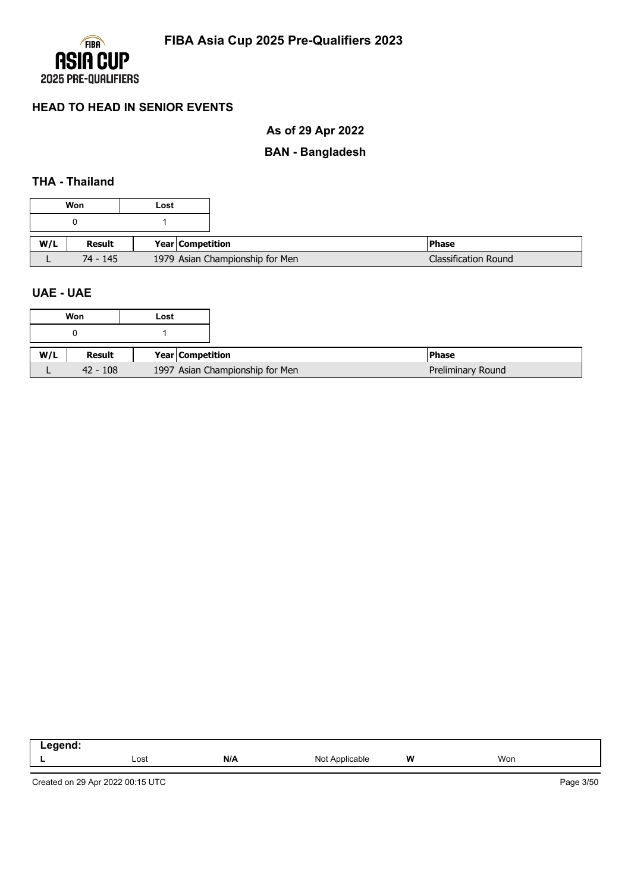

# **As of 29 Apr 2022**

# **BAN - Bangladesh**

## **THA - Thailand**

|     | Won      | Lost |                                 |                             |
|-----|----------|------|---------------------------------|-----------------------------|
|     |          |      |                                 |                             |
| W/L | Result   |      | Year Competition                | <b>Phase</b>                |
|     | 74 - 145 |      | 1979 Asian Championship for Men | <b>Classification Round</b> |

#### **UAE - UAE**

| eaend.<br>-- 3 |      |     |                |   |               |
|----------------|------|-----|----------------|---|---------------|
|                | Lost | N/A | Not Applicable | W | Won<br>$\sim$ |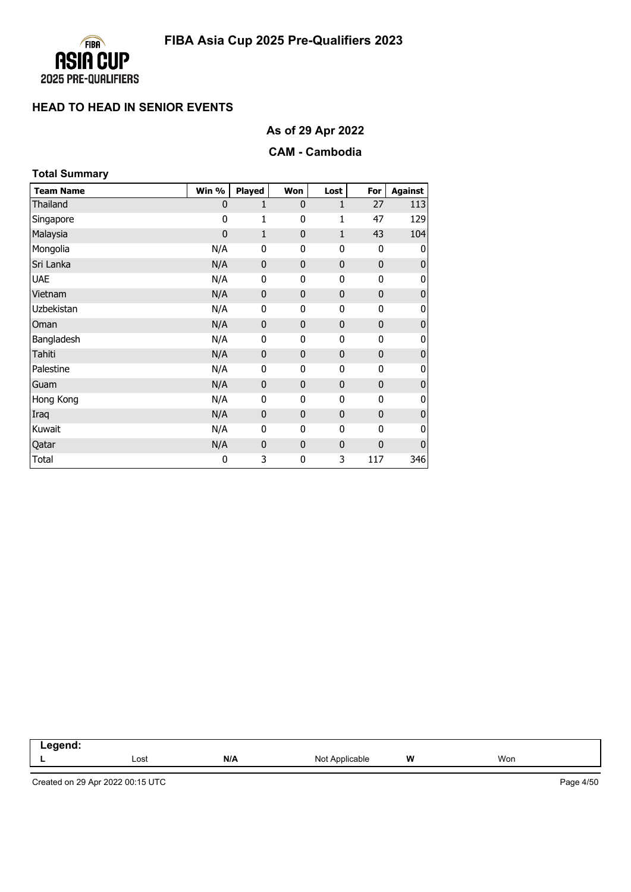

**As of 29 Apr 2022**

### **CAM - Cambodia**

| <b>Total Summary</b> |             |                  |              |              |              |                |
|----------------------|-------------|------------------|--------------|--------------|--------------|----------------|
| <b>Team Name</b>     | Win %       | <b>Played</b>    | Won          | Lost         | For          | <b>Against</b> |
| Thailand             | 0           | 1                | $\mathbf{0}$ | $\mathbf{1}$ | 27           | 113            |
| Singapore            | 0           | 1                | 0            | $\mathbf{1}$ | 47           | 129            |
| Malaysia             | $\mathbf 0$ | 1                | $\mathbf{0}$ | $\mathbf{1}$ | 43           | 104            |
| Mongolia             | N/A         | 0                | 0            | 0            | $\mathbf{0}$ | 0              |
| Sri Lanka            | N/A         | $\mathbf{0}$     | $\mathbf{0}$ | $\mathbf 0$  | $\mathbf 0$  | 0              |
| <b>UAE</b>           | N/A         | 0                | 0            | 0            | 0            | 0              |
| Vietnam              | N/A         | $\mathbf{0}$     | $\mathbf{0}$ | $\mathbf 0$  | $\mathbf{0}$ | 0              |
| Uzbekistan           | N/A         | 0                | 0            | 0            | $\mathbf{0}$ | 0              |
| Oman                 | N/A         | $\mathbf{0}$     | $\mathbf{0}$ | $\mathbf 0$  | $\mathbf 0$  | $\pmb{0}$      |
| Bangladesh           | N/A         | 0                | 0            | 0            | 0            | 0              |
| Tahiti               | N/A         | $\pmb{0}$        | $\mathbf{0}$ | 0            | $\mathbf 0$  | $\pmb{0}$      |
| Palestine            | N/A         | 0                | $\mathbf 0$  | 0            | $\mathbf{0}$ | 0              |
| Guam                 | N/A         | $\boldsymbol{0}$ | $\bf{0}$     | $\mathbf 0$  | $\mathbf 0$  | $\pmb{0}$      |
| Hong Kong            | N/A         | 0                | 0            | 0            | 0            | 0              |
| Iraq                 | N/A         | $\mathbf 0$      | $\mathbf{0}$ | 0            | $\mathbf{0}$ | $\pmb{0}$      |
| Kuwait               | N/A         | 0                | $\mathbf 0$  | 0            | 0            | 0              |
| Qatar                | N/A         | $\pmb{0}$        | $\mathbf{0}$ | 0            | $\mathbf 0$  | $\pmb{0}$      |
| Total                | 0           | 3                | 0            | 3            | 117          | 346            |

| .<br>--<br>-- - |      |     |                             |   |     |
|-----------------|------|-----|-----------------------------|---|-----|
|                 | Lost | N/A | Not A<br>Annlicahle<br>auru | W | Won |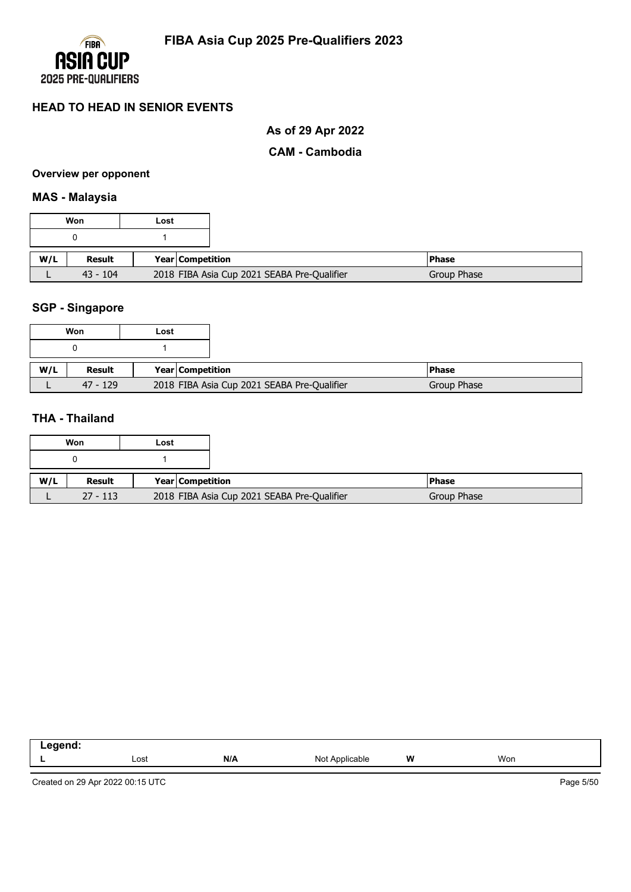

# **As of 29 Apr 2022**

#### **CAM - Cambodia**

#### **Overview per opponent**

#### **MAS - Malaysia**

|     | Won        | Lost             |                                             |             |
|-----|------------|------------------|---------------------------------------------|-------------|
|     |            |                  |                                             |             |
| W/L | Result     | Year Competition |                                             | l Phase     |
|     | $43 - 104$ |                  | 2018 FIBA Asia Cup 2021 SEABA Pre-Qualifier | Group Phase |

#### **SGP - Singapore**

|     | Won        | Lost |                  |                                             |             |
|-----|------------|------|------------------|---------------------------------------------|-------------|
|     |            |      |                  |                                             |             |
| W/L | Result     |      | Year Competition |                                             | l Phase     |
|     | $47 - 129$ |      |                  | 2018 FIBA Asia Cup 2021 SEABA Pre-Qualifier | Group Phase |

### **THA - Thailand**

|     | Won        | Lost |                         |                                             |              |
|-----|------------|------|-------------------------|---------------------------------------------|--------------|
|     |            |      |                         |                                             |              |
| W/L | Result     |      | <b>Year Competition</b> |                                             | <b>Phase</b> |
|     | $27 - 113$ |      |                         | 2018 FIBA Asia Cup 2021 SEABA Pre-Qualifier | Group Phase  |

| N/A<br>W<br>Won<br>Lost<br>NOt<br>capie<br>- | ___ |  |  |  |
|----------------------------------------------|-----|--|--|--|
|                                              |     |  |  |  |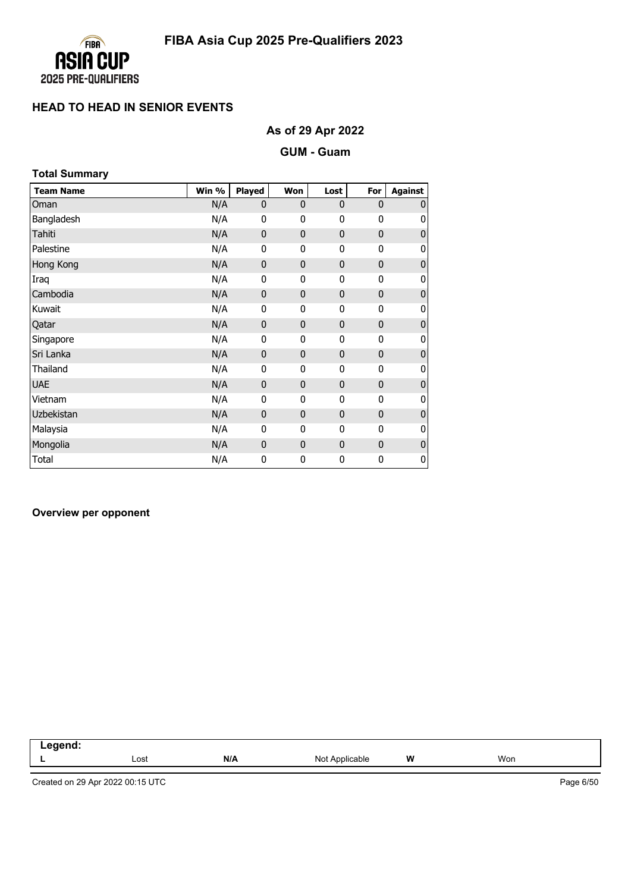

# **As of 29 Apr 2022**

#### **GUM - Guam**

| <b>Total Summary</b> |       |              |              |              |              |                |
|----------------------|-------|--------------|--------------|--------------|--------------|----------------|
| <b>Team Name</b>     | Win % | Played       | Won          | Lost         | For          | <b>Against</b> |
| Oman                 | N/A   | $\mathbf{0}$ | $\mathbf{0}$ | $\mathbf{0}$ | $\mathbf{0}$ | $\mathbf{0}$   |
| Bangladesh           | N/A   | 0            | 0            | 0            | 0            | 0              |
| Tahiti               | N/A   | $\mathbf 0$  | $\mathbf{0}$ | $\mathbf 0$  | $\mathbf{0}$ | $\mathbf 0$    |
| Palestine            | N/A   | 0            | 0            | 0            | $\mathbf{0}$ | 0              |
| Hong Kong            | N/A   | $\mathbf{0}$ | $\mathbf{0}$ | $\mathbf 0$  | $\mathbf{0}$ | $\bf{0}$       |
| Iraq                 | N/A   | 0            | 0            | 0            | 0            | 0              |
| Cambodia             | N/A   | $\mathbf{0}$ | $\mathbf{0}$ | $\mathbf 0$  | $\mathbf{0}$ | $\mathbf 0$    |
| Kuwait               | N/A   | $\mathbf 0$  | 0            | 0            | $\mathbf 0$  | 0              |
| Qatar                | N/A   | 0            | $\mathbf 0$  | $\mathbf 0$  | $\mathbf 0$  | $\bf{0}$       |
| Singapore            | N/A   | 0            | 0            | 0            | 0            | 0              |
| Sri Lanka            | N/A   | $\mathbf{0}$ | $\mathbf{0}$ | $\mathbf{0}$ | $\mathbf{0}$ | $\mathbf 0$    |
| Thailand             | N/A   | 0            | 0            | 0            | $\mathbf 0$  | 0              |
| <b>UAE</b>           | N/A   | $\mathbf{0}$ | $\mathbf{0}$ | $\mathbf 0$  | $\mathbf{0}$ | $\bf{0}$       |
| Vietnam              | N/A   | $\mathbf{0}$ | 0            | 0            | $\mathbf{0}$ | 0              |
| Uzbekistan           | N/A   | $\mathbf{0}$ | $\mathbf{0}$ | $\mathbf 0$  | $\mathbf 0$  | $\mathbf 0$    |
| Malaysia             | N/A   | 0            | 0            | 0            | $\mathbf 0$  | 0              |
| Mongolia             | N/A   | 0            | $\mathbf 0$  | $\mathbf 0$  | $\mathbf 0$  | $\pmb{0}$      |
| Total                | N/A   | 0            | 0            | 0            | 0            | 0              |

#### **Overview per opponent**

| $\sim$ 000 $\sim$ $\sim$ $\sim$<br>. וע<br>--<br>. |      |     |                   |   |     |
|----------------------------------------------------|------|-----|-------------------|---|-----|
|                                                    | Lost | N/A | Applicable<br>Not | W | Won |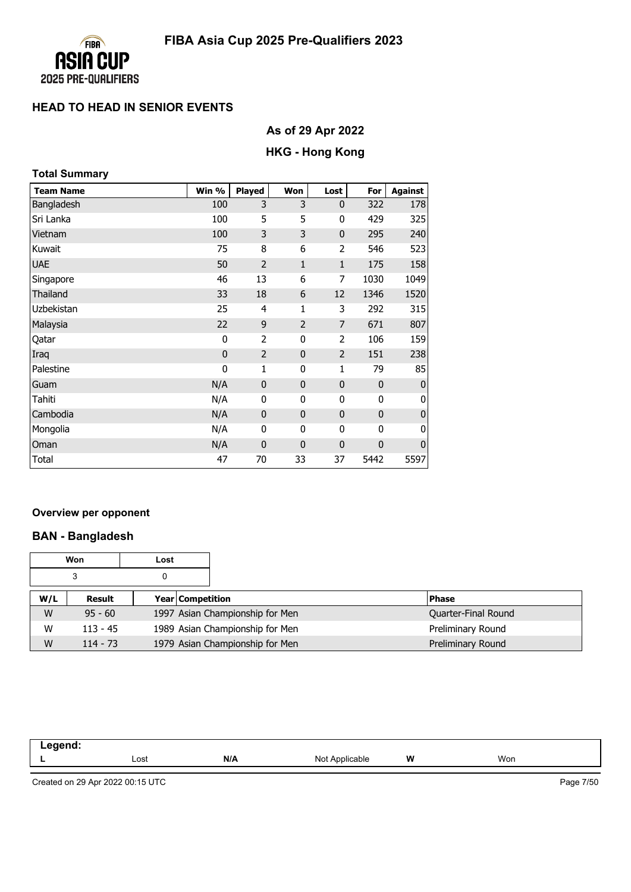

# **As of 29 Apr 2022**

# **HKG - Hong Kong**

| <b>Total Summary</b> |                |                |                |                |             |                |
|----------------------|----------------|----------------|----------------|----------------|-------------|----------------|
| <b>Team Name</b>     | Win %          | <b>Played</b>  | Won            | Lost           | For         | <b>Against</b> |
| Bangladesh           | 100            | 3              | 3              | $\mathbf 0$    | 322         | 178            |
| Sri Lanka            | 100            | 5              | 5              | 0              | 429         | 325            |
| Vietnam              | 100            | 3              | 3              | $\mathbf{0}$   | 295         | 240            |
| Kuwait               | 75             | 8              | 6              | $\overline{2}$ | 546         | 523            |
| <b>UAE</b>           | 50             | $\overline{2}$ | 1              | $\mathbf{1}$   | 175         | 158            |
| Singapore            | 46             | 13             | 6              | 7              | 1030        | 1049           |
| Thailand             | 33             | 18             | 6              | 12             | 1346        | 1520           |
| Uzbekistan           | 25             | 4              | 1              | 3              | 292         | 315            |
| Malaysia             | 22             | 9              | $\overline{2}$ | $\overline{7}$ | 671         | 807            |
| Qatar                | 0              | $\overline{2}$ | 0              | $\overline{2}$ | 106         | 159            |
| Iraq                 | $\overline{0}$ | $\overline{2}$ | $\mathbf{0}$   | $\overline{2}$ | 151         | 238            |
| Palestine            | 0              | 1              | 0              | 1              | 79          | 85             |
| Guam                 | N/A            | $\mathbf 0$    | $\overline{0}$ | $\mathbf 0$    | $\mathbf 0$ | $\mathbf 0$    |
| Tahiti               | N/A            | 0              | 0              | 0              | 0           | 0              |
| Cambodia             | N/A            | $\mathbf{0}$   | $\mathbf{0}$   | $\mathbf 0$    | 0           | $\bf{0}$       |
| Mongolia             | N/A            | 0              | 0              | 0              | 0           | 0              |
| Oman                 | N/A            | $\mathbf{0}$   | 0              | $\mathbf 0$    | 0           | $\bf 0$        |
| Total                | 47             | 70             | 33             | 37             | 5442        | 5597           |

#### **Overview per opponent**

# **BAN - Bangladesh**

|     | Won        | Lost             |                                 |                     |
|-----|------------|------------------|---------------------------------|---------------------|
|     | 3          | 0                |                                 |                     |
| W/L | Result     | Year Competition |                                 | <b>Phase</b>        |
| W   | $95 - 60$  |                  | 1997 Asian Championship for Men | Quarter-Final Round |
| W   | $113 - 45$ |                  | 1989 Asian Championship for Men | Preliminary Round   |
| W   | $114 - 73$ |                  | 1979 Asian Championship for Men | Preliminary Round   |

| -----<br>-- 9<br>$\sim$ |      |     |                               |   |     |  |
|-------------------------|------|-----|-------------------------------|---|-----|--|
|                         | Lost | N/A | NΙω<br>аріе<br>,,,,<br>$\sim$ | W | Won |  |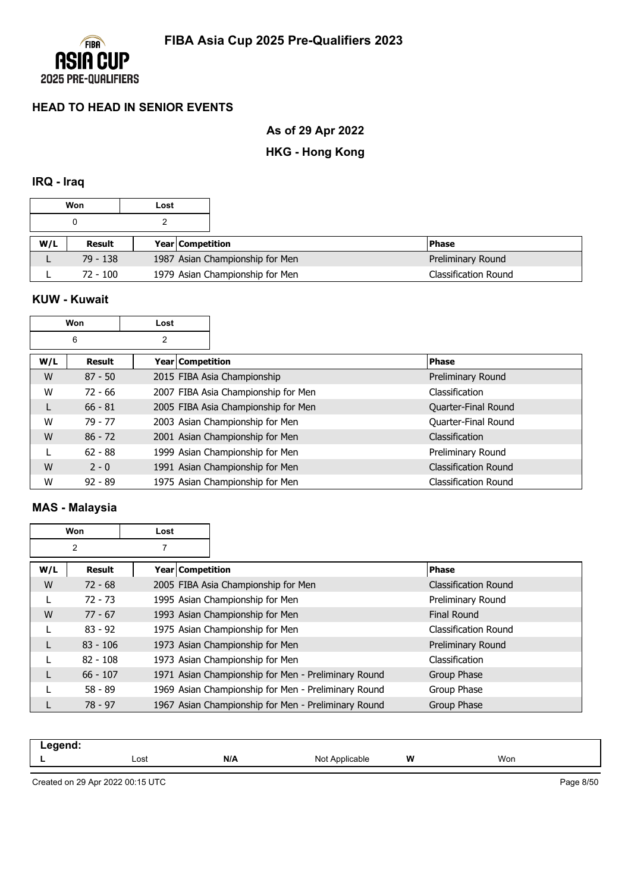

**As of 29 Apr 2022**

# **HKG - Hong Kong**

### **IRQ - Iraq**

|     | Won        | Lost |                         |                                 |                             |
|-----|------------|------|-------------------------|---------------------------------|-----------------------------|
|     |            |      |                         |                                 |                             |
| W/L | Result     |      | <b>Year Competition</b> |                                 | <b>IPhase</b>               |
|     | $79 - 138$ |      |                         | 1987 Asian Championship for Men | Preliminary Round           |
|     | $72 - 100$ |      |                         | 1979 Asian Championship for Men | <b>Classification Round</b> |

### **KUW - Kuwait**

| Won |           | Lost               |                                     |                             |
|-----|-----------|--------------------|-------------------------------------|-----------------------------|
|     | 6         | $\overline{2}$     |                                     |                             |
| W/L | Result    | Year   Competition |                                     | <b>Phase</b>                |
| W   | $87 - 50$ |                    | 2015 FIBA Asia Championship         | Preliminary Round           |
| W   | $72 - 66$ |                    | 2007 FIBA Asia Championship for Men | Classification              |
|     | $66 - 81$ |                    | 2005 FIBA Asia Championship for Men | Quarter-Final Round         |
| W   | 79 - 77   |                    | 2003 Asian Championship for Men     | Quarter-Final Round         |
| W   | $86 - 72$ |                    | 2001 Asian Championship for Men     | Classification              |
|     | $62 - 88$ |                    | 1999 Asian Championship for Men     | Preliminary Round           |
| W   | $2 - 0$   |                    | 1991 Asian Championship for Men     | <b>Classification Round</b> |
| W   | $92 - 89$ |                    | 1975 Asian Championship for Men     | Classification Round        |

# **MAS - Malaysia**

| Won |            | Lost               |                                                     |                             |
|-----|------------|--------------------|-----------------------------------------------------|-----------------------------|
|     | 2          |                    |                                                     |                             |
| W/L | Result     | Year   Competition |                                                     | <b>Phase</b>                |
| W   | $72 - 68$  |                    | 2005 FIBA Asia Championship for Men                 | <b>Classification Round</b> |
|     | $72 - 73$  |                    | 1995 Asian Championship for Men                     | Preliminary Round           |
| W   | $77 - 67$  |                    | 1993 Asian Championship for Men                     | <b>Final Round</b>          |
|     | $83 - 92$  |                    | 1975 Asian Championship for Men                     | Classification Round        |
| L   | $83 - 106$ |                    | 1973 Asian Championship for Men                     | Preliminary Round           |
|     | $82 - 108$ |                    | 1973 Asian Championship for Men                     | Classification              |
|     | $66 - 107$ |                    | 1971 Asian Championship for Men - Preliminary Round | Group Phase                 |
|     | $58 - 89$  |                    | 1969 Asian Championship for Men - Preliminary Round | Group Phase                 |
|     | $78 - 97$  |                    | 1967 Asian Championship for Men - Preliminary Round | Group Phase                 |

| .<br>-- |              |     |              |   |     |  |
|---------|--------------|-----|--------------|---|-----|--|
| -       | Lost<br>---- | N/A | Not<br>anie. | W | Won |  |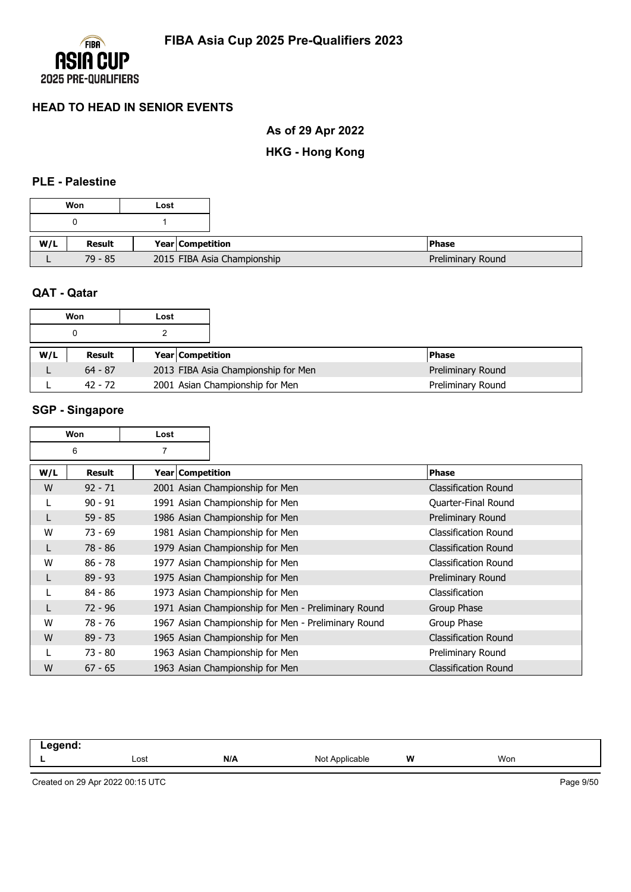

**As of 29 Apr 2022**

**HKG - Hong Kong**

### **PLE - Palestine**

|     | Won       | Lost |                             |  |
|-----|-----------|------|-----------------------------|--|
|     |           |      |                             |  |
| W/L | Result    |      | <b>Year Competition</b>     |  |
|     | $79 - 85$ |      | 2015 FIBA Asia Championship |  |

#### **QAT - Qatar**

|     | Won<br>Lost |  |                         |                                     |  |                   |
|-----|-------------|--|-------------------------|-------------------------------------|--|-------------------|
|     |             |  |                         |                                     |  |                   |
| W/L | Result      |  | <b>Year Competition</b> |                                     |  | <b>Phase</b>      |
|     | $64 - 87$   |  |                         | 2013 FIBA Asia Championship for Men |  | Preliminary Round |
|     | $42 - 72$   |  |                         | 2001 Asian Championship for Men     |  | Preliminary Round |

### **SGP - Singapore**

| <b>Won</b> |               | Lost               |                                                     |                             |
|------------|---------------|--------------------|-----------------------------------------------------|-----------------------------|
| 6          |               | $\overline{7}$     |                                                     |                             |
| W/L        | <b>Result</b> | Year   Competition |                                                     | <b>Phase</b>                |
| W          | $92 - 71$     |                    | 2001 Asian Championship for Men                     | <b>Classification Round</b> |
| L          | $90 - 91$     |                    | 1991 Asian Championship for Men                     | Quarter-Final Round         |
|            | $59 - 85$     |                    | 1986 Asian Championship for Men                     | Preliminary Round           |
| W          | $73 - 69$     |                    | 1981 Asian Championship for Men                     | <b>Classification Round</b> |
| L          | 78 - 86       |                    | 1979 Asian Championship for Men                     | <b>Classification Round</b> |
| W          | $86 - 78$     |                    | 1977 Asian Championship for Men                     | Classification Round        |
| L          | $89 - 93$     |                    | 1975 Asian Championship for Men                     | Preliminary Round           |
|            | $84 - 86$     |                    | 1973 Asian Championship for Men                     | Classification              |
| L          | $72 - 96$     |                    | 1971 Asian Championship for Men - Preliminary Round | Group Phase                 |
| W          | 78 - 76       |                    | 1967 Asian Championship for Men - Preliminary Round | Group Phase                 |
| W          | $89 - 73$     |                    | 1965 Asian Championship for Men                     | <b>Classification Round</b> |
|            | 73 - 80       |                    | 1963 Asian Championship for Men                     | Preliminary Round           |
| W          | $67 - 65$     |                    | 1963 Asian Championship for Men                     | <b>Classification Round</b> |

| ----<br>. |      |     |                                         |   |     |
|-----------|------|-----|-----------------------------------------|---|-----|
|           | Lost | N/A | N∩t<br>Applicable<br>$\sim$<br>-------- | W | Won |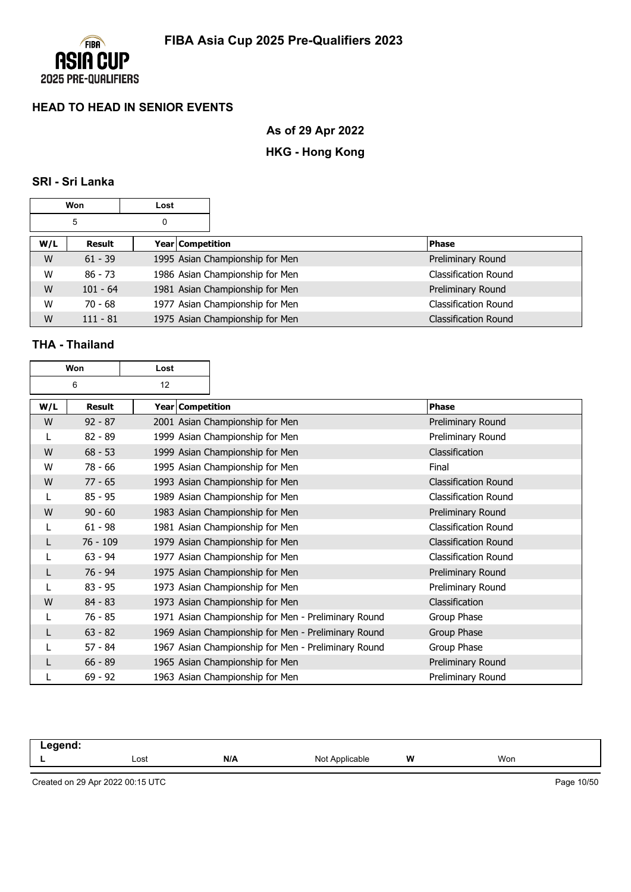

**As of 29 Apr 2022**

# **HKG - Hong Kong**

### **SRI - Sri Lanka**

| Won    |            | Lost |                                 |                             |
|--------|------------|------|---------------------------------|-----------------------------|
| 5<br>0 |            |      |                                 |                             |
| W/L    | Result     |      | Year Competition                | <b>Phase</b>                |
| W      | $61 - 39$  |      | 1995 Asian Championship for Men | Preliminary Round           |
| W      | $86 - 73$  |      | 1986 Asian Championship for Men | <b>Classification Round</b> |
| W      | $101 - 64$ |      | 1981 Asian Championship for Men | Preliminary Round           |
| W      | $70 - 68$  |      | 1977 Asian Championship for Men | <b>Classification Round</b> |
| W      | $111 - 81$ |      | 1975 Asian Championship for Men | <b>Classification Round</b> |

# **THA - Thailand**

| Won<br>Lost |               |  |                  |                                                     |                             |
|-------------|---------------|--|------------------|-----------------------------------------------------|-----------------------------|
| 6<br>12     |               |  |                  |                                                     |                             |
| W/L         | <b>Result</b> |  | Year Competition |                                                     | Phase                       |
| W           | $92 - 87$     |  |                  | 2001 Asian Championship for Men                     | Preliminary Round           |
| L           | $82 - 89$     |  |                  | 1999 Asian Championship for Men                     | Preliminary Round           |
| W           | $68 - 53$     |  |                  | 1999 Asian Championship for Men                     | Classification              |
| W           | $78 - 66$     |  |                  | 1995 Asian Championship for Men                     | Final                       |
| W           | $77 - 65$     |  |                  | 1993 Asian Championship for Men                     | <b>Classification Round</b> |
|             | $85 - 95$     |  |                  | 1989 Asian Championship for Men                     | <b>Classification Round</b> |
| W           | $90 - 60$     |  |                  | 1983 Asian Championship for Men                     | Preliminary Round           |
| L           | $61 - 98$     |  |                  | 1981 Asian Championship for Men                     | <b>Classification Round</b> |
| L           | $76 - 109$    |  |                  | 1979 Asian Championship for Men                     | <b>Classification Round</b> |
|             | $63 - 94$     |  |                  | 1977 Asian Championship for Men                     | <b>Classification Round</b> |
| L           | $76 - 94$     |  |                  | 1975 Asian Championship for Men                     | Preliminary Round           |
| L           | $83 - 95$     |  |                  | 1973 Asian Championship for Men                     | Preliminary Round           |
| W           | $84 - 83$     |  |                  | 1973 Asian Championship for Men                     | Classification              |
|             | $76 - 85$     |  |                  | 1971 Asian Championship for Men - Preliminary Round | Group Phase                 |
|             | $63 - 82$     |  |                  | 1969 Asian Championship for Men - Preliminary Round | Group Phase                 |
|             | $57 - 84$     |  |                  | 1967 Asian Championship for Men - Preliminary Round | Group Phase                 |
|             | $66 - 89$     |  |                  | 1965 Asian Championship for Men                     | Preliminary Round           |
|             | $69 - 92$     |  |                  | 1963 Asian Championship for Men                     | Preliminary Round           |

| .<br>_____ |              |     |                     |   |     |  |
|------------|--------------|-----|---------------------|---|-----|--|
|            | Lost<br>---- | N/A | Not /<br>Applicable | W | Won |  |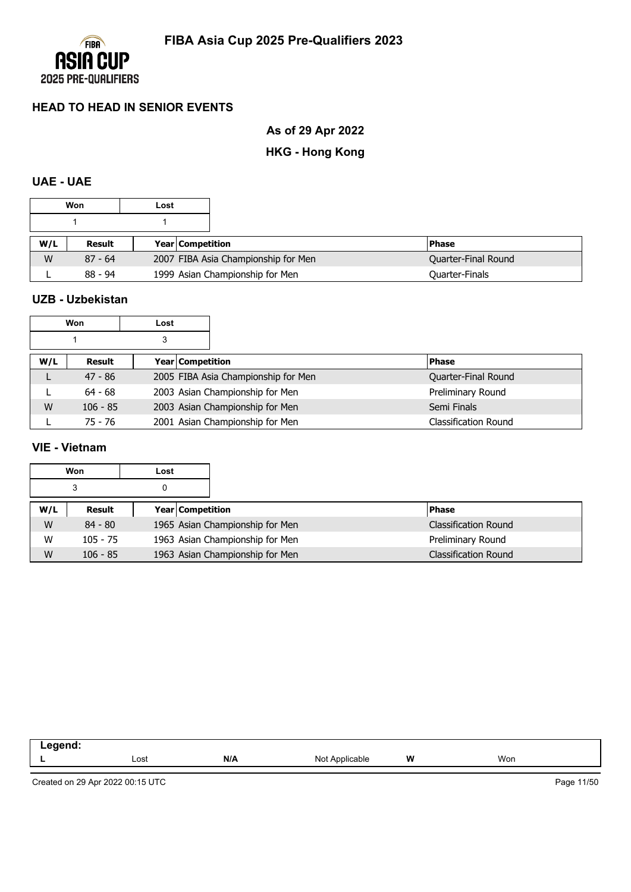

**As of 29 Apr 2022**

# **HKG - Hong Kong**

## **UAE - UAE**

| Won<br>Lost |           |  |                    |                                     |                       |
|-------------|-----------|--|--------------------|-------------------------------------|-----------------------|
|             |           |  |                    |                                     |                       |
| W/L         | Result    |  | Year   Competition |                                     | <b>Phase</b>          |
| W           | $87 - 64$ |  |                    | 2007 FIBA Asia Championship for Men | Quarter-Final Round   |
|             | $88 - 94$ |  |                    | 1999 Asian Championship for Men     | <b>Quarter-Finals</b> |

### **UZB - Uzbekistan**

| Won |            | Lost |                  |                                     |                             |
|-----|------------|------|------------------|-------------------------------------|-----------------------------|
|     |            | 3    |                  |                                     |                             |
| W/L | Result     |      | Year Competition |                                     | <b>Phase</b>                |
|     | $47 - 86$  |      |                  | 2005 FIBA Asia Championship for Men | Quarter-Final Round         |
|     | $64 - 68$  |      |                  | 2003 Asian Championship for Men     | Preliminary Round           |
| W   | $106 - 85$ |      |                  | 2003 Asian Championship for Men     | Semi Finals                 |
|     | 75 - 76    |      |                  | 2001 Asian Championship for Men     | <b>Classification Round</b> |

### **VIE - Vietnam**

|     | Won<br>Lost<br>3<br>0 |  |                                 |                      |
|-----|-----------------------|--|---------------------------------|----------------------|
|     |                       |  |                                 |                      |
| W/L | Result                |  | <b>Year Competition</b>         | <b>IPhase</b>        |
| W   | $84 - 80$             |  | 1965 Asian Championship for Men | Classification Round |
| W   | $105 - 75$            |  | 1963 Asian Championship for Men | Preliminary Round    |
| W   | $106 - 85$            |  | 1963 Asian Championship for Men | Classification Round |

| . |                   |     |                      |   |     |  |
|---|-------------------|-----|----------------------|---|-----|--|
|   | Lost<br>$- - - -$ | N/A | nnlic:<br>м.<br>able | W | Won |  |
|   |                   |     |                      |   |     |  |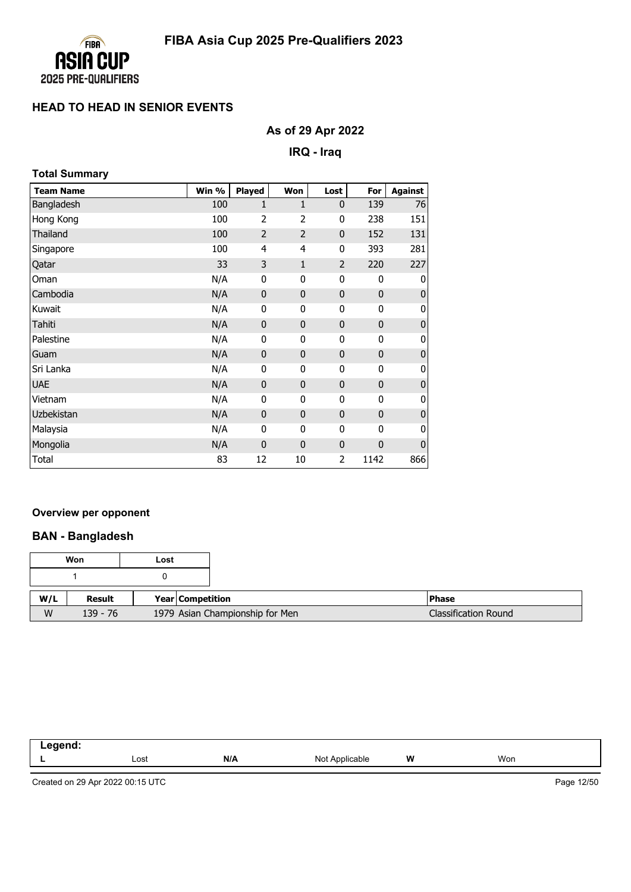

# **As of 29 Apr 2022**

**IRQ - Iraq**

| <b>Total Summary</b> |       |                |                |                |              |                |
|----------------------|-------|----------------|----------------|----------------|--------------|----------------|
| <b>Team Name</b>     | Win % | Played         | Won            | Lost           | For          | <b>Against</b> |
| Bangladesh           | 100   | 1              | $\mathbf{1}$   | $\mathbf{0}$   | 139          | 76             |
| Hong Kong            | 100   | $\overline{2}$ | 2              | 0              | 238          | 151            |
| Thailand             | 100   | $\overline{2}$ | $\overline{2}$ | $\mathbf 0$    | 152          | 131            |
| Singapore            | 100   | 4              | 4              | 0              | 393          | 281            |
| Qatar                | 33    | 3              | $\mathbf{1}$   | $\overline{2}$ | 220          | 227            |
| Oman                 | N/A   | 0              | 0              | 0              | 0            | 0              |
| Cambodia             | N/A   | $\mathbf 0$    | 0              | $\mathbf 0$    | $\mathbf 0$  | $\mathbf 0$    |
| Kuwait               | N/A   | $\mathbf{0}$   | 0              | 0              | 0            | 0              |
| Tahiti               | N/A   | $\mathbf 0$    | 0              | $\mathbf 0$    | $\mathbf 0$  | $\pmb{0}$      |
| Palestine            | N/A   | 0              | 0              | 0              | 0            | 0              |
| Guam                 | N/A   | $\mathbf 0$    | $\mathbf{0}$   | $\mathbf 0$    | $\mathbf 0$  | $\mathbf 0$    |
| Sri Lanka            | N/A   | 0              | 0              | 0              | 0            | 0              |
| <b>UAE</b>           | N/A   | $\mathbf{0}$   | $\mathbf{0}$   | $\mathbf{0}$   | $\mathbf{0}$ | $\mathbf 0$    |
| Vietnam              | N/A   | $\mathbf{0}$   | 0              | 0              | 0            | 0              |
| Uzbekistan           | N/A   | $\mathbf 0$    | 0              | $\mathbf 0$    | $\mathbf 0$  | $\mathbf 0$    |
| Malaysia             | N/A   | $\mathbf 0$    | 0              | 0              | $\mathbf{0}$ | 0              |
| Mongolia             | N/A   | $\mathbf 0$    | $\bf{0}$       | $\mathbf 0$    | 0            | $\bf{0}$       |
| Total                | 83    | 12             | 10             | 2              | 1142         | 866            |

#### **Overview per opponent**

### **BAN - Bangladesh**

|     | Won        | Lost |                  |                                 |                             |
|-----|------------|------|------------------|---------------------------------|-----------------------------|
|     |            |      |                  |                                 |                             |
| W/L | Result     |      | Year Competition |                                 | <b>IPhase</b>               |
| W   | $139 - 76$ |      |                  | 1979 Asian Championship for Men | <b>Classification Round</b> |

| eaend:<br>--<br>----<br>____ |      |     |                            |   |     |  |
|------------------------------|------|-----|----------------------------|---|-----|--|
| -                            | Lost | N/A | Not.<br>`Applicable<br>៴∪৻ | W | Won |  |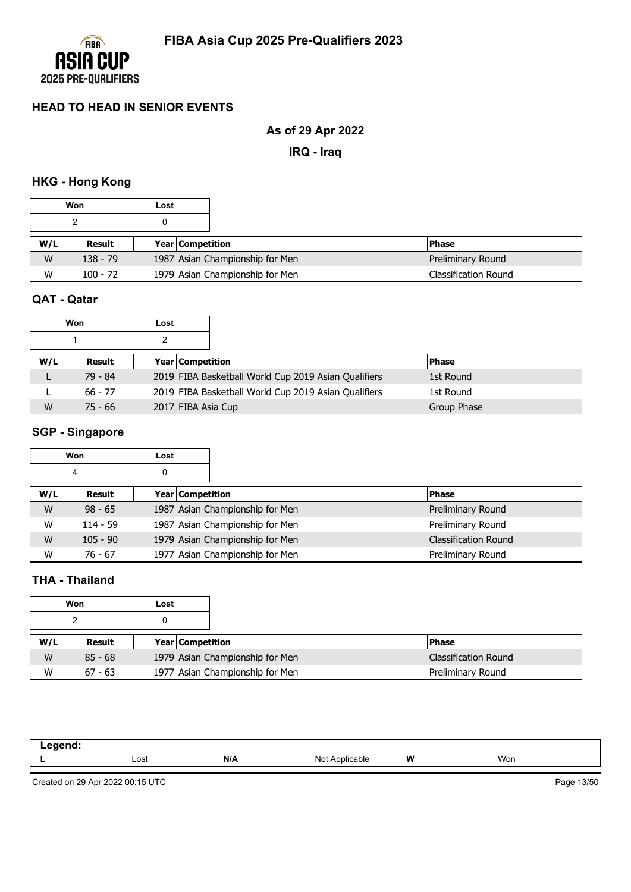

# **As of 29 Apr 2022**

**IRQ - Iraq**

# **HKG - Hong Kong**

|     | Won        | Lost |                         |                                 |                             |
|-----|------------|------|-------------------------|---------------------------------|-----------------------------|
|     |            |      |                         |                                 |                             |
| W/L | Result     |      | <b>Year Competition</b> |                                 | <b>Phase</b>                |
| W   | $138 - 79$ |      |                         | 1987 Asian Championship for Men | Preliminary Round           |
| W   | $100 - 72$ |      |                         | 1979 Asian Championship for Men | <b>Classification Round</b> |

### **QAT - Qatar**

|     | Won       | Lost |                                                      |              |
|-----|-----------|------|------------------------------------------------------|--------------|
|     |           |      |                                                      |              |
| W/L | Result    |      | <b>Year Competition</b>                              | <b>Phase</b> |
|     | 79 - 84   |      | 2019 FIBA Basketball World Cup 2019 Asian Qualifiers | 1st Round    |
|     | 66 - 77   |      | 2019 FIBA Basketball World Cup 2019 Asian Qualifiers | 1st Round    |
| W   | $75 - 66$ |      | 2017 FIBA Asia Cup                                   | Group Phase  |

# **SGP - Singapore**

|     | Won        | Lost             |                                 |                             |
|-----|------------|------------------|---------------------------------|-----------------------------|
|     | 4          | 0                |                                 |                             |
| W/L | Result     | Year Competition |                                 | <b>Phase</b>                |
| W   | $98 - 65$  |                  | 1987 Asian Championship for Men | Preliminary Round           |
| W   | $114 - 59$ |                  | 1987 Asian Championship for Men | Preliminary Round           |
| W   | $105 - 90$ |                  | 1979 Asian Championship for Men | <b>Classification Round</b> |
| W   | $76 - 67$  |                  | 1977 Asian Championship for Men | Preliminary Round           |

## **THA - Thailand**

|     | Won       | Lost |                         |                                 |                      |
|-----|-----------|------|-------------------------|---------------------------------|----------------------|
|     |           |      |                         |                                 |                      |
| W/L | Result    |      | <b>Year Competition</b> |                                 | <b>Phase</b>         |
| W   | $85 - 68$ |      |                         | 1979 Asian Championship for Men | Classification Round |
| W   | $67 - 63$ |      |                         | 1977 Asian Championship for Men | Preliminary Round    |

| ------<br>$  -$ |      |     |                                   |   |     |
|-----------------|------|-----|-----------------------------------|---|-----|
|                 | Lost | N/A | $N \cap$<br>^pplicable<br>19 U L. | W | Won |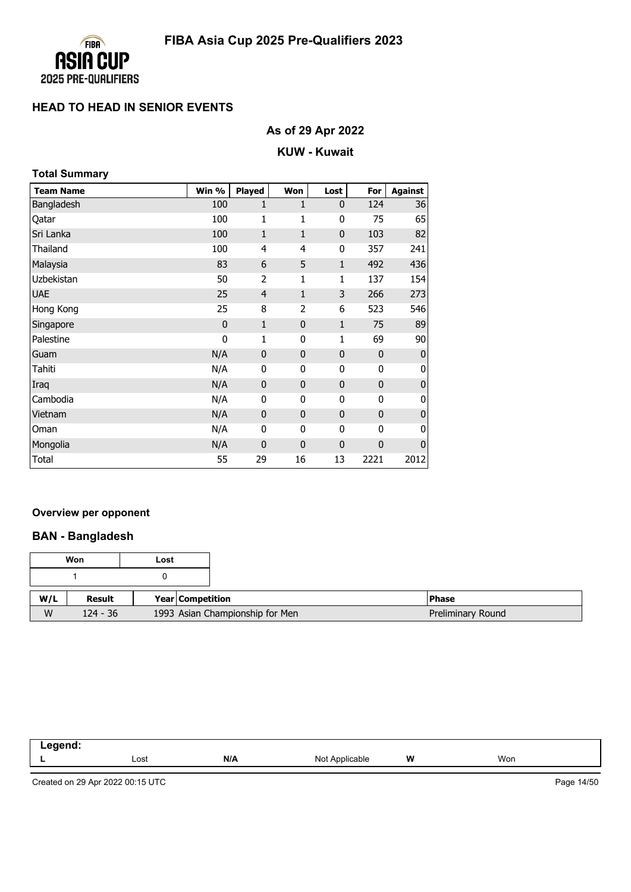

# **As of 29 Apr 2022**

### **KUW - Kuwait**

| <b>Total Summary</b> |             |                |              |              |              |                |
|----------------------|-------------|----------------|--------------|--------------|--------------|----------------|
| <b>Team Name</b>     | Win %       | <b>Played</b>  | Won          | Lost         | For          | <b>Against</b> |
| Bangladesh           | 100         | 1              | 1            | $\mathbf 0$  | 124          | 36             |
| Qatar                | 100         | 1              | 1            | 0            | 75           | 65             |
| Sri Lanka            | 100         | $\mathbf{1}$   | $\mathbf{1}$ | $\mathbf 0$  | 103          | 82             |
| Thailand             | 100         | 4              | 4            | 0            | 357          | 241            |
| Malaysia             | 83          | 6              | 5            | $\mathbf{1}$ | 492          | 436            |
| Uzbekistan           | 50          | $\overline{2}$ | 1            | 1            | 137          | 154            |
| <b>UAE</b>           | 25          | $\overline{4}$ | $\mathbf{1}$ | 3            | 266          | 273            |
| Hong Kong            | 25          | 8              | 2            | 6            | 523          | 546            |
| Singapore            | $\mathbf 0$ | $\mathbf{1}$   | $\mathbf{0}$ | $\mathbf{1}$ | 75           | 89             |
| Palestine            | $\mathbf 0$ | 1              | 0            | 1            | 69           | 90             |
| Guam                 | N/A         | 0              | $\mathbf{0}$ | $\mathbf 0$  | $\mathbf{0}$ | $\mathbf 0$    |
| Tahiti               | N/A         | 0              | 0            | 0            | 0            | 0              |
| Iraq                 | N/A         | $\mathbf 0$    | $\mathbf{0}$ | $\mathbf 0$  | $\mathbf 0$  | $\bf{0}$       |
| Cambodia             | N/A         | 0              | 0            | 0            | 0            | 0              |
| Vietnam              | N/A         | $\mathbf 0$    | $\mathbf 0$  | $\mathbf 0$  | $\mathbf{0}$ | $\mathbf 0$    |
| Oman                 | N/A         | 0              | 0            | 0            | 0            | 0              |
| Mongolia             | N/A         | $\mathbf{0}$   | $\mathbf{0}$ | $\mathbf 0$  | $\mathbf{0}$ | $\mathbf 0$    |
| Total                | 55          | 29             | 16           | 13           | 2221         | 2012           |

#### **Overview per opponent**

### **BAN - Bangladesh**

|     | Won        | Lost |                  |                                 |                   |
|-----|------------|------|------------------|---------------------------------|-------------------|
|     |            |      |                  |                                 |                   |
| W/L | Result     |      | Year Competition |                                 | <b>Phase</b>      |
| W   | $124 - 36$ |      |                  | 1993 Asian Championship for Men | Preliminary Round |

| -----<br>пс<br>. .<br>--- |      |     |                     |          |     |  |
|---------------------------|------|-----|---------------------|----------|-----|--|
|                           | Lost | N/A | Not<br>: Applicable | W<br>. . | Won |  |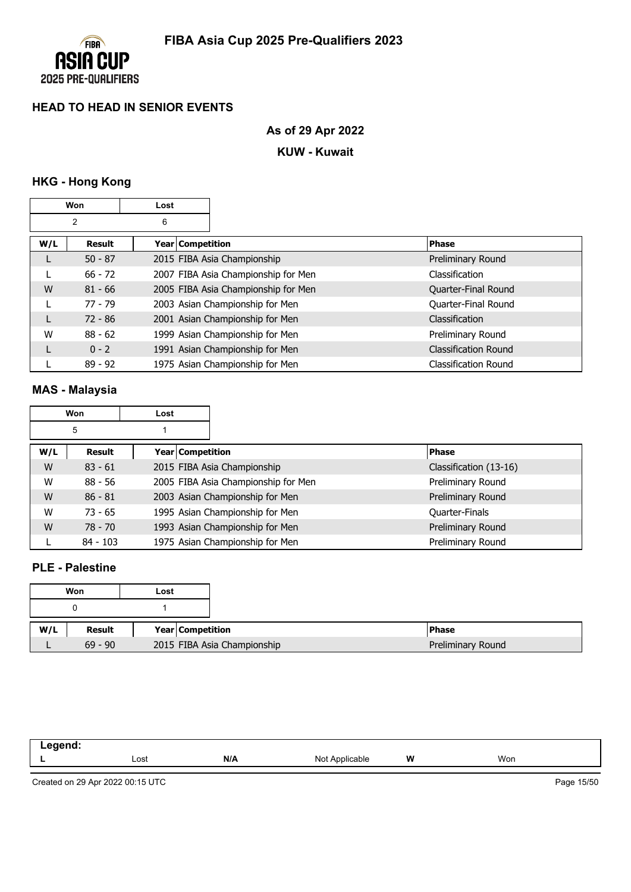

# **As of 29 Apr 2022**

### **KUW - Kuwait**

# **HKG - Hong Kong**

|     | Won<br>Lost    |                         |                                     |                             |
|-----|----------------|-------------------------|-------------------------------------|-----------------------------|
|     | $\overline{2}$ | 6                       |                                     |                             |
| W/L | <b>Result</b>  | <b>Year Competition</b> |                                     | <b>Phase</b>                |
|     | $50 - 87$      |                         | 2015 FIBA Asia Championship         | Preliminary Round           |
|     | $66 - 72$      |                         | 2007 FIBA Asia Championship for Men | Classification              |
| W   | $81 - 66$      |                         | 2005 FIBA Asia Championship for Men | Quarter-Final Round         |
|     | $77 - 79$      |                         | 2003 Asian Championship for Men     | Quarter-Final Round         |
|     | $72 - 86$      |                         | 2001 Asian Championship for Men     | Classification              |
| W   | $88 - 62$      |                         | 1999 Asian Championship for Men     | Preliminary Round           |
|     | $0 - 2$        |                         | 1991 Asian Championship for Men     | <b>Classification Round</b> |
|     | $89 - 92$      |                         | 1975 Asian Championship for Men     | Classification Round        |

# **MAS - Malaysia**

|     | Won        | Lost |                                     |                        |
|-----|------------|------|-------------------------------------|------------------------|
|     | 5          |      |                                     |                        |
| W/L | Result     |      | <b>Year Competition</b>             | <b>Phase</b>           |
| W   | $83 - 61$  |      | 2015 FIBA Asia Championship         | Classification (13-16) |
| W   | $88 - 56$  |      | 2005 FIBA Asia Championship for Men | Preliminary Round      |
| W   | $86 - 81$  |      | 2003 Asian Championship for Men     | Preliminary Round      |
| W   | $73 - 65$  |      | 1995 Asian Championship for Men     | <b>Quarter-Finals</b>  |
| W   | $78 - 70$  |      | 1993 Asian Championship for Men     | Preliminary Round      |
|     | $84 - 103$ |      | 1975 Asian Championship for Men     | Preliminary Round      |

## **PLE - Palestine**

|     | Won       | Lost                        |
|-----|-----------|-----------------------------|
|     |           |                             |
| W/L | Result    | Year Competition            |
|     | $69 - 90$ | 2015 FIBA Asia Championship |

| - | Lost | N/A | NIC<br>$\cdot$<br>the contract of the contract of the contract of the contract of the contract of | W | Won |  |
|---|------|-----|---------------------------------------------------------------------------------------------------|---|-----|--|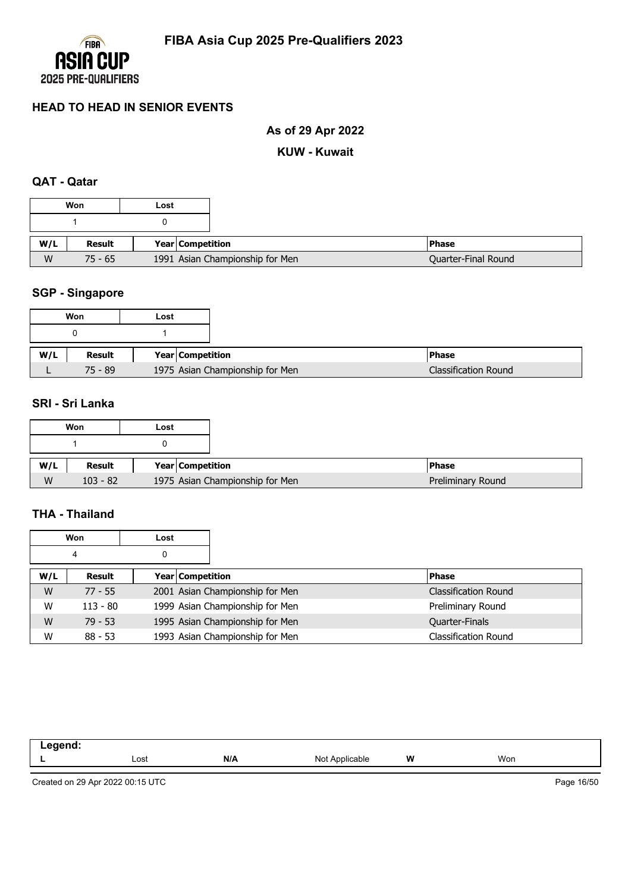

# **As of 29 Apr 2022**

#### **KUW - Kuwait**

### **QAT - Qatar**

|     | Won       | Lost |                                 |                     |
|-----|-----------|------|---------------------------------|---------------------|
|     |           |      |                                 |                     |
| W/L | Result    |      | Year Competition                | <b>Phase</b>        |
| W   | $75 - 65$ |      | 1991 Asian Championship for Men | Quarter-Final Round |

# **SGP - Singapore**

|     | Won       | Lost |                                 |
|-----|-----------|------|---------------------------------|
|     |           |      |                                 |
| W/L | Result    |      | Year Competition                |
|     | $75 - 89$ |      | 1975 Asian Championship for Men |

### **SRI - Sri Lanka**

|     | Won        | Lost |                  |                                 |  |
|-----|------------|------|------------------|---------------------------------|--|
|     |            |      |                  |                                 |  |
| W/L | Result     |      | Year Competition |                                 |  |
| W   | $103 - 82$ |      |                  | 1975 Asian Championship for Men |  |

### **THA - Thailand**

|     | Won<br>Lost |   |                  |                                 |                             |
|-----|-------------|---|------------------|---------------------------------|-----------------------------|
|     | 4           | 0 |                  |                                 |                             |
| W/L | Result      |   | Year Competition |                                 | <b>Phase</b>                |
| W   | $77 - 55$   |   |                  | 2001 Asian Championship for Men | <b>Classification Round</b> |
| W   | $113 - 80$  |   |                  | 1999 Asian Championship for Men | Preliminary Round           |
| W   | $79 - 53$   |   |                  | 1995 Asian Championship for Men | <b>Quarter-Finals</b>       |
| W   | $88 - 53$   |   |                  | 1993 Asian Championship for Men | <b>Classification Round</b> |

| Lost | N/A | Not<br>$\sqrt{n}$<br>ગાcable | W<br> | Won |
|------|-----|------------------------------|-------|-----|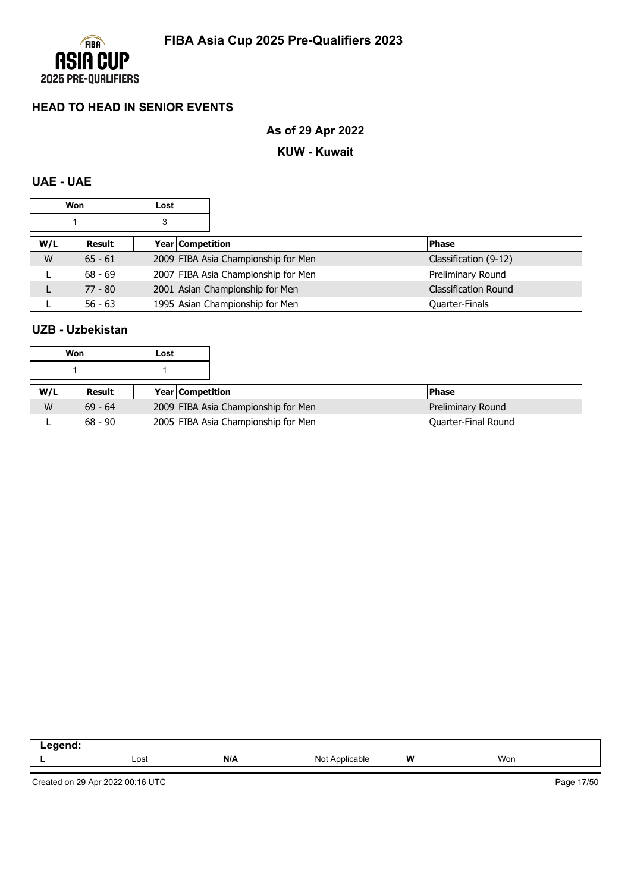

# **As of 29 Apr 2022**

#### **KUW - Kuwait**

# **UAE - UAE**

|     | Won<br>Lost |   |                  |                                     |                             |
|-----|-------------|---|------------------|-------------------------------------|-----------------------------|
|     |             | 3 |                  |                                     |                             |
| W/L | Result      |   | Year Competition |                                     | <b>Phase</b>                |
| W   | $65 - 61$   |   |                  | 2009 FIBA Asia Championship for Men | Classification (9-12)       |
|     | $68 - 69$   |   |                  | 2007 FIBA Asia Championship for Men | Preliminary Round           |
|     | $77 - 80$   |   |                  | 2001 Asian Championship for Men     | <b>Classification Round</b> |
|     | $56 - 63$   |   |                  | 1995 Asian Championship for Men     | Quarter-Finals              |

### **UZB - Uzbekistan**

|     | Won       | Lost |                         |                                     |                     |
|-----|-----------|------|-------------------------|-------------------------------------|---------------------|
|     |           |      |                         |                                     |                     |
| W/L | Result    |      | <b>Year Competition</b> |                                     | <b>Phase</b>        |
| W   | $69 - 64$ |      |                         | 2009 FIBA Asia Championship for Men | Preliminary Round   |
|     | $68 - 90$ |      |                         | 2005 FIBA Asia Championship for Men | Quarter-Final Round |

| -- | Lost | N/A | Not<br>Applicable | W | Won |  |
|----|------|-----|-------------------|---|-----|--|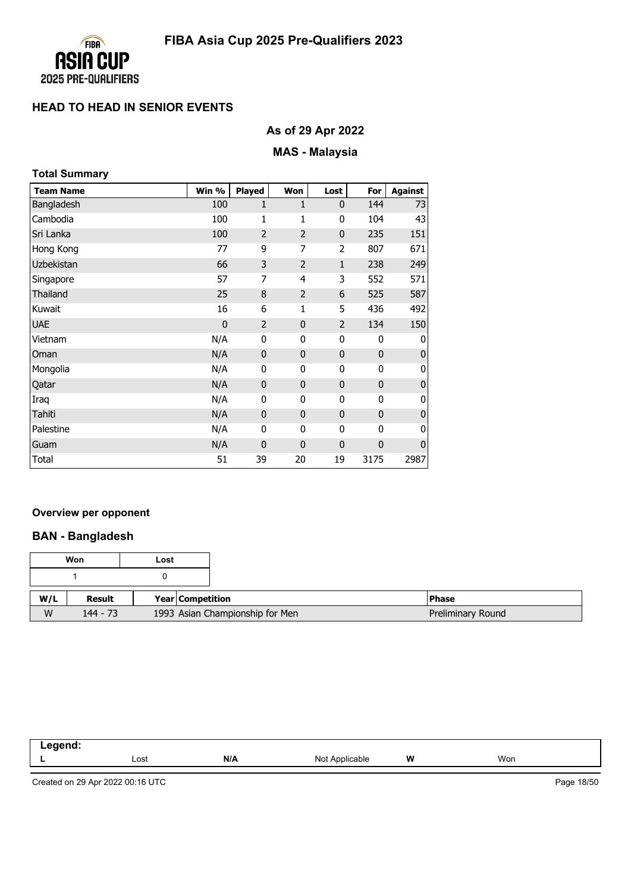

# **As of 29 Apr 2022**

# **MAS - Malaysia**

| <b>Total Summary</b> |             |                |                |                |              |                |
|----------------------|-------------|----------------|----------------|----------------|--------------|----------------|
| <b>Team Name</b>     | Win %       | Played         | Won            | Lost           | For          | <b>Against</b> |
| Bangladesh           | 100         | $\mathbf{1}$   | 1              | $\mathbf{0}$   | 144          | 73             |
| Cambodia             | 100         | 1              | 1              | 0              | 104          | 43             |
| Sri Lanka            | 100         | $\overline{2}$ | 2              | $\mathbf 0$    | 235          | 151            |
| Hong Kong            | 77          | 9              | 7              | 2              | 807          | 671            |
| Uzbekistan           | 66          | 3              | $\overline{2}$ | $\mathbf{1}$   | 238          | 249            |
| Singapore            | 57          | 7              | 4              | 3              | 552          | 571            |
| Thailand             | 25          | 8              | 2              | 6              | 525          | 587            |
| Kuwait               | 16          | 6              | 1              | 5              | 436          | 492            |
| <b>UAE</b>           | $\mathbf 0$ | $\overline{2}$ | $\mathbf{0}$   | $\overline{2}$ | 134          | 150            |
| Vietnam              | N/A         | 0              | 0              | 0              | 0            | 0              |
| Oman                 | N/A         | $\mathbf 0$    | $\mathbf{0}$   | $\mathbf 0$    | $\mathbf 0$  | $\mathbf 0$    |
| Mongolia             | N/A         | 0              | 0              | 0              | $\mathbf{0}$ | 0              |
| Qatar                | N/A         | $\mathbf 0$    | $\mathbf{0}$   | $\mathbf 0$    | $\mathbf 0$  | $\bf{0}$       |
| Iraq                 | N/A         | 0              | 0              | 0              | 0            | 0              |
| Tahiti               | N/A         | $\mathbf 0$    | $\mathbf{0}$   | $\mathbf 0$    | $\mathbf 0$  | $\mathbf 0$    |
| Palestine            | N/A         | $\mathbf{0}$   | 0              | 0              | $\mathbf{0}$ | 0              |
| Guam                 | N/A         | 0              | $\mathbf 0$    | $\mathbf 0$    | $\mathbf 0$  | $\bf{0}$       |
| Total                | 51          | 39             | 20             | 19             | 3175         | 2987           |

#### **Overview per opponent**

### **BAN - Bangladesh**

|     | Won        | Lost |                  |                                 |                   |
|-----|------------|------|------------------|---------------------------------|-------------------|
|     |            |      |                  |                                 |                   |
| W/L | Result     |      | Year Competition |                                 | <b>Phase</b>      |
| W   | $144 - 73$ |      |                  | 1993 Asian Championship for Men | Preliminary Round |

| -----<br>пс<br>. .<br>--- |      |     |                     |          |     |  |
|---------------------------|------|-----|---------------------|----------|-----|--|
|                           | Lost | N/A | Not<br>: Applicable | W<br>. . | Won |  |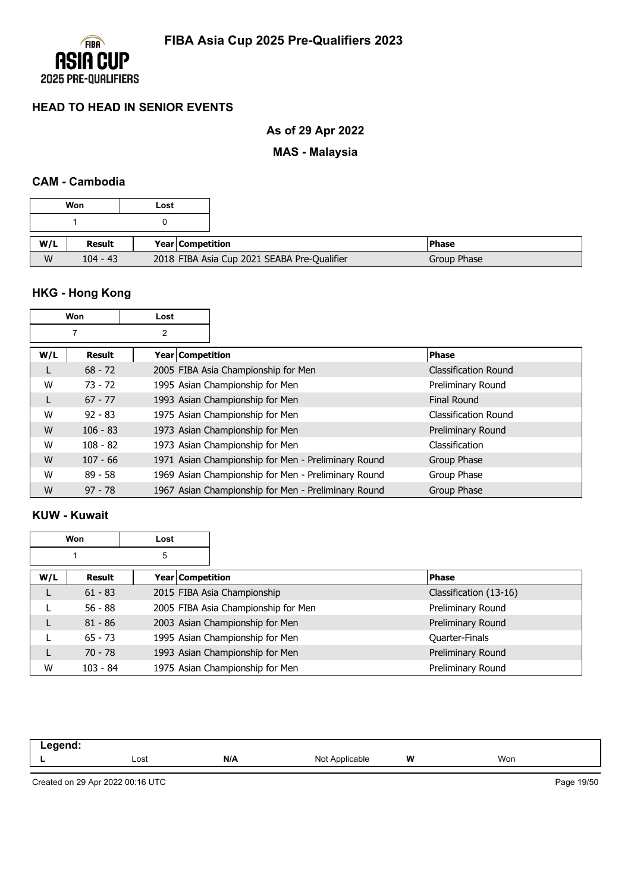

# **As of 29 Apr 2022**

# **MAS - Malaysia**

### **CAM - Cambodia**

|     | Won        | Lost |                         |                                             |             |
|-----|------------|------|-------------------------|---------------------------------------------|-------------|
|     |            |      |                         |                                             |             |
| W/L | Result     |      | <b>Year Competition</b> |                                             | l Phase     |
| W   | $104 - 43$ |      |                         | 2018 FIBA Asia Cup 2021 SEABA Pre-Qualifier | Group Phase |

# **HKG - Hong Kong**

|     | Won        | Lost             |                                                     |                      |
|-----|------------|------------------|-----------------------------------------------------|----------------------|
|     |            | 2                |                                                     |                      |
| W/L | Result     | Year Competition |                                                     | <b>Phase</b>         |
|     | $68 - 72$  |                  | 2005 FIBA Asia Championship for Men                 | Classification Round |
| W   | $73 - 72$  |                  | 1995 Asian Championship for Men                     | Preliminary Round    |
| L   | $67 - 77$  |                  | 1993 Asian Championship for Men                     | <b>Final Round</b>   |
| W   | $92 - 83$  |                  | 1975 Asian Championship for Men                     | Classification Round |
| W   | $106 - 83$ |                  | 1973 Asian Championship for Men                     | Preliminary Round    |
| W   | $108 - 82$ |                  | 1973 Asian Championship for Men                     | Classification       |
| W   | $107 - 66$ |                  | 1971 Asian Championship for Men - Preliminary Round | Group Phase          |
| W   | $89 - 58$  |                  | 1969 Asian Championship for Men - Preliminary Round | Group Phase          |
| W   | $97 - 78$  |                  | 1967 Asian Championship for Men - Preliminary Round | Group Phase          |

#### **KUW - Kuwait**

|     | Won        | Lost |                                     |                        |
|-----|------------|------|-------------------------------------|------------------------|
|     |            | 5    |                                     |                        |
| W/L | Result     |      | Year   Competition                  | <b>Phase</b>           |
|     | $61 - 83$  |      | 2015 FIBA Asia Championship         | Classification (13-16) |
|     | $56 - 88$  |      | 2005 FIBA Asia Championship for Men | Preliminary Round      |
|     | $81 - 86$  |      | 2003 Asian Championship for Men     | Preliminary Round      |
|     | $65 - 73$  |      | 1995 Asian Championship for Men     | Quarter-Finals         |
|     | $70 - 78$  |      | 1993 Asian Championship for Men     | Preliminary Round      |
| W   | $103 - 84$ |      | 1975 Asian Championship for Men     | Preliminary Round      |

| .<br>$\sim$ $\sim$ $\sim$ $\sim$ |      |     |                                |   |     |  |
|----------------------------------|------|-----|--------------------------------|---|-----|--|
|                                  | Lost | N/A | N <sub>Io</sub><br>avıc<br>ישו | W | Won |  |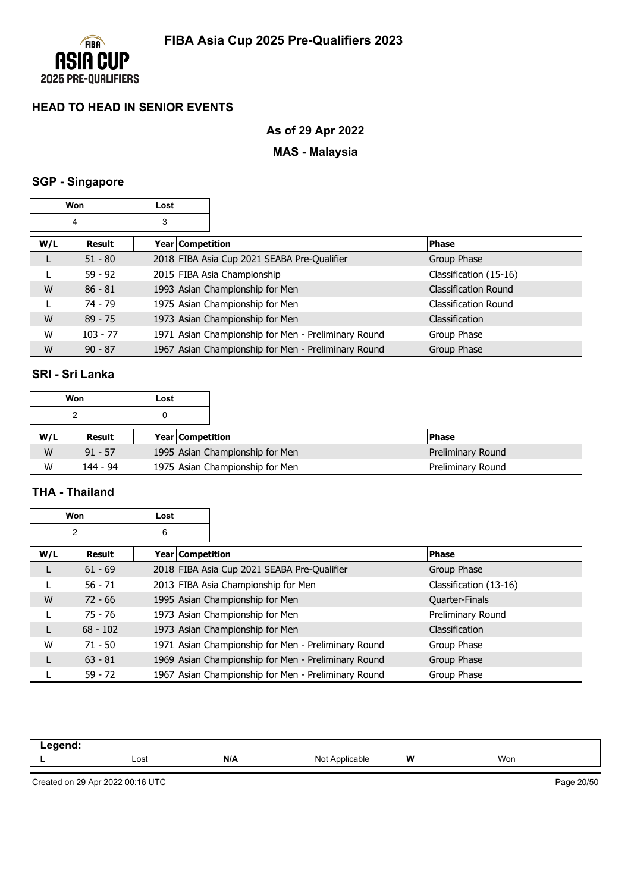

# **As of 29 Apr 2022**

# **MAS - Malaysia**

### **SGP - Singapore**

|     | Won           | Lost |                    |                                                     |                        |
|-----|---------------|------|--------------------|-----------------------------------------------------|------------------------|
|     | 4             | 3    |                    |                                                     |                        |
| W/L | <b>Result</b> |      | Year   Competition |                                                     | <b>Phase</b>           |
|     | $51 - 80$     |      |                    | 2018 FIBA Asia Cup 2021 SEABA Pre-Qualifier         | Group Phase            |
|     | $59 - 92$     |      |                    | 2015 FIBA Asia Championship                         | Classification (15-16) |
| W   | $86 - 81$     |      |                    | 1993 Asian Championship for Men                     | Classification Round   |
|     | 74 - 79       |      |                    | 1975 Asian Championship for Men                     | Classification Round   |
| W   | $89 - 75$     |      |                    | 1973 Asian Championship for Men                     | Classification         |
| W   | $103 - 77$    |      |                    | 1971 Asian Championship for Men - Preliminary Round | Group Phase            |
| W   | $90 - 87$     |      |                    | 1967 Asian Championship for Men - Preliminary Round | Group Phase            |

### **SRI - Sri Lanka**

|     | Won       | Lost |                         |                                 |                   |
|-----|-----------|------|-------------------------|---------------------------------|-------------------|
|     |           |      |                         |                                 |                   |
| W/L | Result    |      | <b>Year Competition</b> |                                 | <b>Phase</b>      |
| W   | $91 - 57$ |      |                         | 1995 Asian Championship for Men | Preliminary Round |
| W   | 144 - 94  |      |                         | 1975 Asian Championship for Men | Preliminary Round |

### **THA - Thailand**

 $\Gamma$ 

|     | Won        | Lost               |                                                     |                        |
|-----|------------|--------------------|-----------------------------------------------------|------------------------|
|     | 2          | 6                  |                                                     |                        |
| W/L | Result     | Year   Competition |                                                     | <b>Phase</b>           |
|     | $61 - 69$  |                    | 2018 FIBA Asia Cup 2021 SEABA Pre-Qualifier         | Group Phase            |
|     | $56 - 71$  |                    | 2013 FIBA Asia Championship for Men                 | Classification (13-16) |
| W   | $72 - 66$  |                    | 1995 Asian Championship for Men                     | Quarter-Finals         |
|     | $75 - 76$  |                    | 1973 Asian Championship for Men                     | Preliminary Round      |
|     | $68 - 102$ |                    | 1973 Asian Championship for Men                     | Classification         |
| W   | $71 - 50$  |                    | 1971 Asian Championship for Men - Preliminary Round | Group Phase            |
| L   | $63 - 81$  |                    | 1969 Asian Championship for Men - Preliminary Round | Group Phase            |
|     | $59 - 72$  |                    | 1967 Asian Championship for Men - Preliminary Round | Group Phase            |

| .<br>. |      |     |                          |   |     |
|--------|------|-----|--------------------------|---|-----|
| -      | Lost | N/A | Not<br>plicable<br>11017 | W | Won |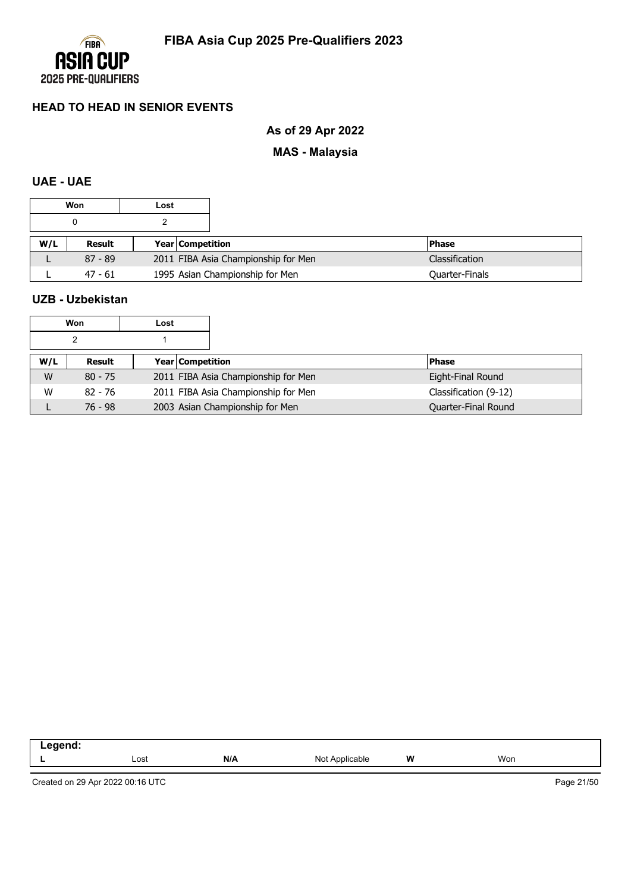

# **As of 29 Apr 2022**

# **MAS - Malaysia**

## **UAE - UAE**

|     | Won       | Lost |                                     |                       |
|-----|-----------|------|-------------------------------------|-----------------------|
|     |           |      |                                     |                       |
| W/L | Result    |      | <b>Year Competition</b>             | <b>Phase</b>          |
|     | $87 - 89$ |      | 2011 FIBA Asia Championship for Men | <b>Classification</b> |
|     | $47 - 61$ |      | 1995 Asian Championship for Men     | Quarter-Finals        |

### **UZB - Uzbekistan**

| Won | Lost |
|-----|------|
|     |      |

| W/L | Result    | <b>Year Competition</b>             | <b>IPhase</b>              |
|-----|-----------|-------------------------------------|----------------------------|
| W   | $80 - 75$ | 2011 FIBA Asia Championship for Men | Eight-Final Round          |
| W   | 82 - 76   | 2011 FIBA Asia Championship for Men | Classification (9-12)      |
|     | 76 - 98   | 2003 Asian Championship for Men     | <b>Ouarter-Final Round</b> |

| ------ |      |     |                                        |   |     |
|--------|------|-----|----------------------------------------|---|-----|
| . .    | Lost | N/A | הוח<br>$\Delta$ pplies<br>ו שטו<br>uur | W | Won |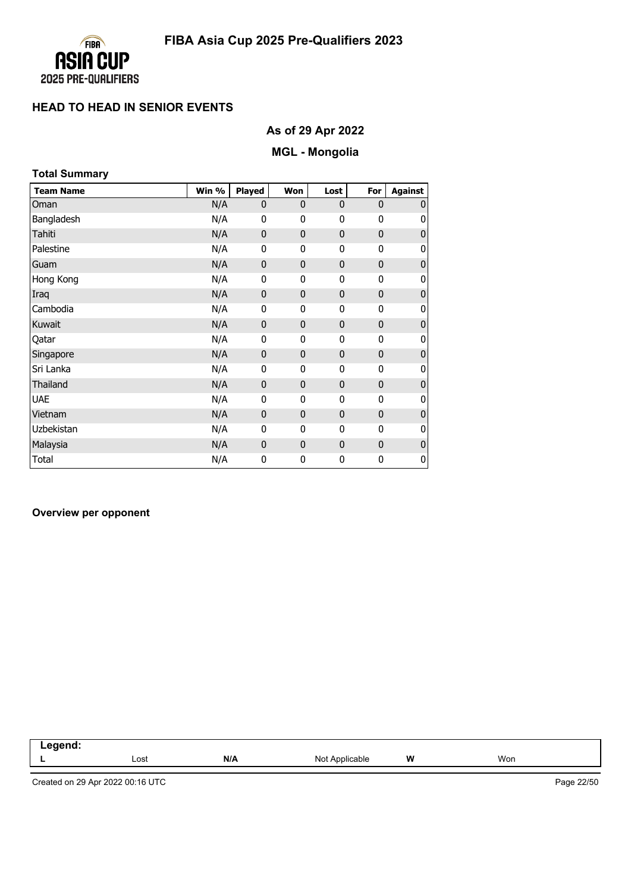

# **As of 29 Apr 2022**

# **MGL - Mongolia**

| <b>Total Summary</b> |       |              |              |      |             |                |
|----------------------|-------|--------------|--------------|------|-------------|----------------|
| <b>Team Name</b>     | Win % | Played       | Won          | Lost | For         | <b>Against</b> |
| Oman                 | N/A   | $\mathbf{0}$ | $\mathbf{0}$ | 0    | 0           | 0              |
| Bangladesh           | N/A   | 0            | 0            | 0    | 0           | 0              |
| Tahiti               | N/A   | $\mathbf{0}$ | $\mathbf{0}$ | 0    | $\mathbf 0$ | $\mathbf 0$    |
| Palestine            | N/A   | 0            | 0            | 0    | 0           | 0              |
| Guam                 | N/A   | $\mathbf 0$  | $\mathbf{0}$ | 0    | $\mathbf 0$ | $\pmb{0}$      |
| Hong Kong            | N/A   | 0            | 0            | 0    | 0           | 0              |
| Iraq                 | N/A   | $\mathbf 0$  | $\mathbf{0}$ | 0    | 0           | 0              |
| Cambodia             | N/A   | 0            | 0            | 0    | 0           | 0              |
| Kuwait               | N/A   | 0            | $\mathbf{0}$ | 0    | 0           | $\pmb{0}$      |
| Qatar                | N/A   | 0            | 0            | 0    | 0           | 0              |
| Singapore            | N/A   | $\mathbf 0$  | $\mathbf{0}$ | 0    | 0           | $\mathbf 0$    |
| Sri Lanka            | N/A   | 0            | $\mathbf{0}$ | 0    | 0           | 0              |
| Thailand             | N/A   | 0            | $\mathbf{0}$ | 0    | $\mathbf 0$ | $\bf 0$        |
| <b>UAE</b>           | N/A   | 0            | 0            | 0    | 0           | 0              |
| Vietnam              | N/A   | 0            | $\mathbf{0}$ | 0    | 0           | $\mathbf 0$    |
| <b>Uzbekistan</b>    | N/A   | 0            | 0            | 0    | 0           | 0              |
| Malaysia             | N/A   | 0            | $\mathbf{0}$ | 0    | $\mathbf 0$ | $\pmb{0}$      |
| <b>Total</b>         | N/A   | 0            | 0            | 0    | 0           | 0              |

#### **Overview per opponent**

| - - - - - -<br>--<br>. |      |     |                     |          |     |
|------------------------|------|-----|---------------------|----------|-----|
|                        | Lost | N/A | Not A<br>Applicable | W<br>. . | Won |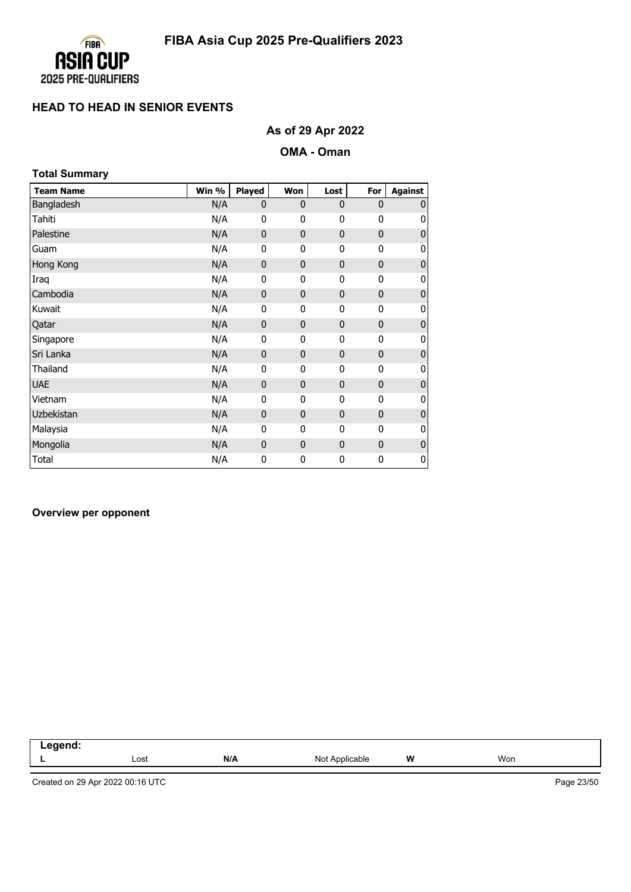

# **As of 29 Apr 2022**

#### **OMA - Oman**

| <b>Total Summary</b> |       |               |              |             |              |                |
|----------------------|-------|---------------|--------------|-------------|--------------|----------------|
| <b>Team Name</b>     | Win % | <b>Played</b> | Won          | Lost        | For          | <b>Against</b> |
| Bangladesh           | N/A   | 0             | $\mathbf{0}$ | 0           | $\mathbf{0}$ | 0              |
| Tahiti               | N/A   | 0             | 0            | 0           | 0            | 0              |
| Palestine            | N/A   | $\mathbf{0}$  | $\mathbf{0}$ | 0           | 0            | $\mathbf{0}$   |
| Guam                 | N/A   | 0             | $\mathbf{0}$ | 0           | 0            | 0              |
| Hong Kong            | N/A   | 0             | $\mathbf{0}$ | 0           | $\mathbf 0$  | $\mathbf{0}$   |
| Iraq                 | N/A   | 0             | 0            | 0           | 0            | 0              |
| Cambodia             | N/A   | 0             | $\mathbf{0}$ | 0           | 0            | 0              |
| Kuwait               | N/A   | 0             | 0            | 0           | 0            | 0              |
| Qatar                | N/A   | 0             | $\mathbf{0}$ | 0           | 0            | $\pmb{0}$      |
| Singapore            | N/A   | 0             | 0            | 0           | 0            | 0              |
| Sri Lanka            | N/A   | $\mathbf{0}$  | $\mathbf{0}$ | 0           | $\mathbf{0}$ | $\mathbf 0$    |
| Thailand             | N/A   | 0             | $\mathbf{0}$ | 0           | 0            | 0              |
| <b>UAE</b>           | N/A   | 0             | $\mathbf{0}$ | 0           | $\mathbf 0$  | $\bf{0}$       |
| Vietnam              | N/A   | 0             | 0            | 0           | 0            | 0              |
| Uzbekistan           | N/A   | 0             | $\mathbf{0}$ | 0           | 0            | $\mathbf{0}$   |
| Malaysia             | N/A   | $\mathbf{0}$  | $\mathbf{0}$ | 0           | 0            | 0              |
| Mongolia             | N/A   | 0             | $\mathbf{0}$ | $\mathbf 0$ | $\mathbf 0$  | $\pmb{0}$      |
| Total                | N/A   | 0             | 0            | 0           | 0            | 0              |

#### **Overview per opponent**

| <u>amand</u><br>_<br>.<br>__ |      |     |                   |       |     |
|------------------------------|------|-----|-------------------|-------|-----|
|                              | Lost | N/A | Applicable<br>Not | W<br> | Won |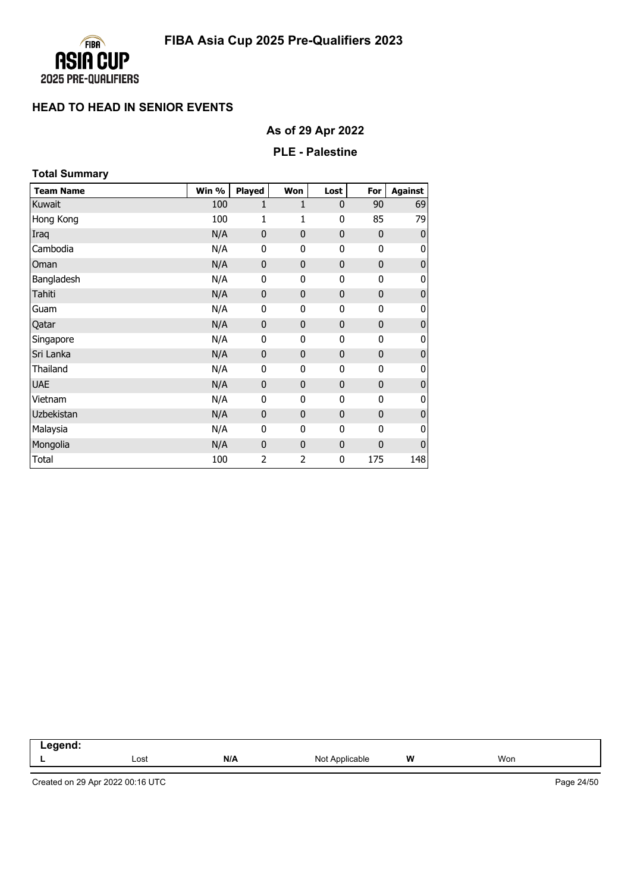

# **As of 29 Apr 2022**

### **PLE - Palestine**

| <b>Total Summary</b> |       |               |              |              |              |                  |
|----------------------|-------|---------------|--------------|--------------|--------------|------------------|
| <b>Team Name</b>     | Win % | <b>Played</b> | Won          | Lost         | For          | Against          |
| Kuwait               | 100   | 1             | 1            | 0            | 90           | 69               |
| Hong Kong            | 100   | 1             | 1            | 0            | 85           | 79               |
| Iraq                 | N/A   | $\mathbf 0$   | 0            | $\mathbf 0$  | $\mathbf 0$  | $\mathbf{0}$     |
| Cambodia             | N/A   | 0             | 0            | 0            | $\mathbf{0}$ | 0                |
| Oman                 | N/A   | $\mathbf 0$   | $\bf{0}$     | $\mathbf 0$  | $\mathbf{0}$ | $\pmb{0}$        |
| Bangladesh           | N/A   | 0             | 0            | 0            | 0            | 0                |
| Tahiti               | N/A   | $\mathbf 0$   | $\mathbf{0}$ | $\mathbf 0$  | $\mathbf 0$  | $\boldsymbol{0}$ |
| Guam                 | N/A   | 0             | 0            | 0            | 0            | 0                |
| Qatar                | N/A   | $\mathbf{0}$  | 0            | $\mathbf 0$  | $\mathbf 0$  | $\pmb{0}$        |
| Singapore            | N/A   | 0             | 0            | 0            | 0            | $\pmb{0}$        |
| Sri Lanka            | N/A   | $\mathbf{0}$  | 0            | $\mathbf 0$  | $\mathbf 0$  | $\bf 0$          |
| Thailand             | N/A   | $\mathbf 0$   | 0            | $\mathbf{0}$ | $\mathbf 0$  | 0                |
| <b>UAE</b>           | N/A   | $\mathbf 0$   | $\bf{0}$     | $\mathbf 0$  | $\mathbf 0$  | $\pmb{0}$        |
| Vietnam              | N/A   | 0             | 0            | 0            | $\mathbf 0$  | $\pmb{0}$        |
| Uzbekistan           | N/A   | $\mathbf 0$   | 0            | $\mathbf 0$  | $\mathbf{0}$ | $\bf 0$          |
| Malaysia             | N/A   | 0             | 0            | 0            | $\mathbf 0$  | 0                |
| Mongolia             | N/A   | $\mathbf{0}$  | $\mathbf{0}$ | $\mathbf 0$  | $\mathbf 0$  | 0                |
| Total                | 100   | 2             | 2            | 0            | 175          | 148              |

| $-200$<br>. |      |     |                           |   |     |  |
|-------------|------|-----|---------------------------|---|-----|--|
| -           | Lost | N/A | Not<br>Annlicable<br>avıc | W | Wor |  |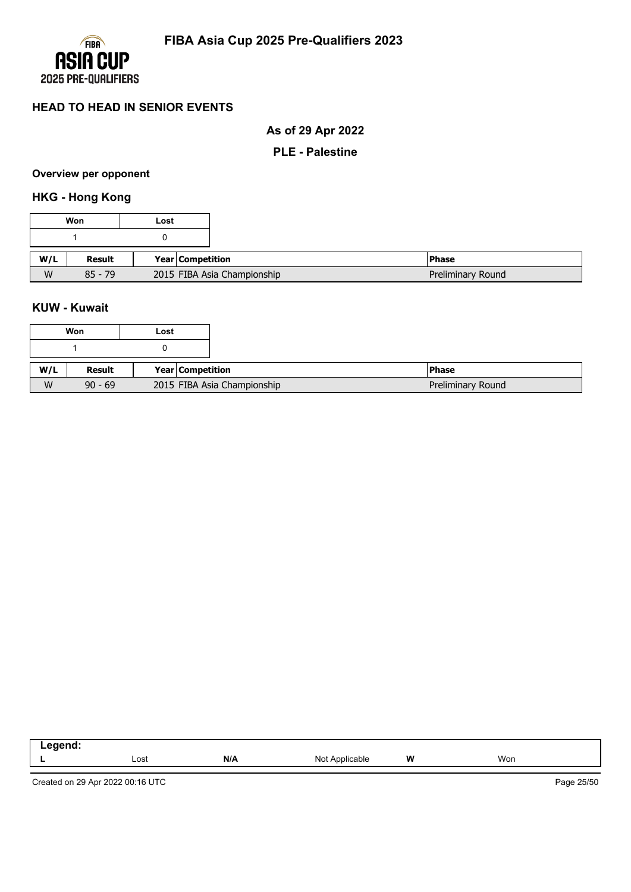

# **As of 29 Apr 2022**

#### **PLE - Palestine**

#### **Overview per opponent**

# **HKG - Hong Kong**

|     | Won       | Lost |                             |                   |
|-----|-----------|------|-----------------------------|-------------------|
|     |           |      |                             |                   |
| W/L | Result    |      | Year Competition            | <b>Phase</b>      |
| W   | $85 - 79$ |      | 2015 FIBA Asia Championship | Preliminary Round |

### **KUW - Kuwait**

|     | Won       | Lost |                             |                   |
|-----|-----------|------|-----------------------------|-------------------|
|     |           |      |                             |                   |
| W/L | Result    |      | <b>Year Competition</b>     | <b>Phase</b>      |
| W   | $90 - 69$ |      | 2015 FIBA Asia Championship | Preliminary Round |

| ------<br>. |      |     |                                                       |   |     |
|-------------|------|-----|-------------------------------------------------------|---|-----|
| -           | Lost | N/A | Noi<br><b>Annicachie</b><br>אועו<br>$\cdot\cdot\cdot$ | W | Won |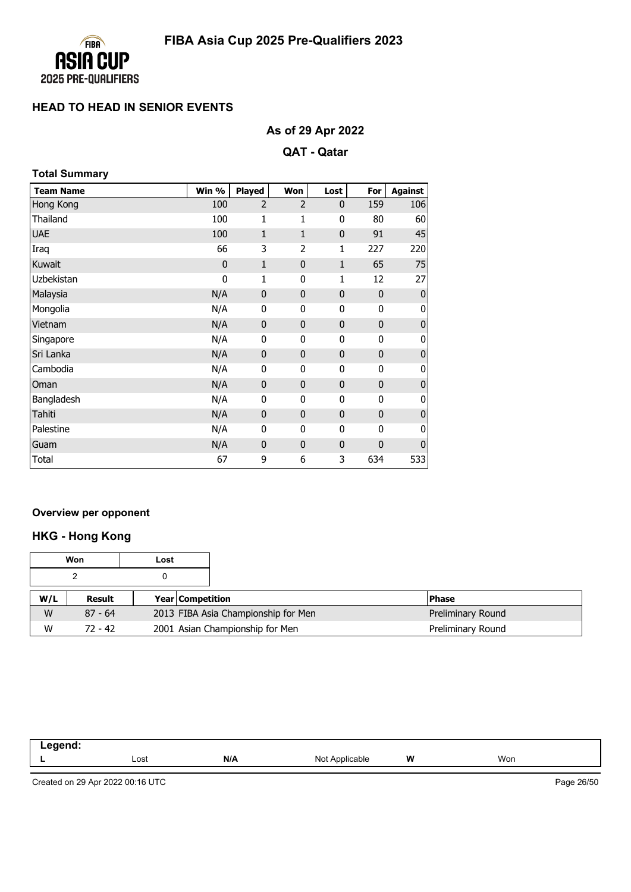

# **As of 29 Apr 2022**

### **QAT - Qatar**

| <b>Total Summary</b> |
|----------------------|
|                      |

| <b>Team Name</b> | Win %       | Played       | Won            | Lost         | For          | <b>Against</b> |
|------------------|-------------|--------------|----------------|--------------|--------------|----------------|
| Hong Kong        | 100         | 2            | $\overline{2}$ | $\mathbf 0$  | 159          | 106            |
| Thailand         | 100         | 1            | 1              | 0            | 80           | 60             |
| <b>UAE</b>       | 100         | $\mathbf{1}$ | $\mathbf{1}$   | $\mathbf{0}$ | 91           | 45             |
| Iraq             | 66          | 3            | 2              | 1            | 227          | 220            |
| Kuwait           | $\mathbf 0$ | $\mathbf{1}$ | 0              | $\mathbf{1}$ | 65           | 75             |
| Uzbekistan       | 0           | 1            | 0              | 1            | 12           | 27             |
| Malaysia         | N/A         | $\mathbf 0$  | 0              | $\mathbf 0$  | $\mathbf{0}$ | $\mathbf 0$    |
| Mongolia         | N/A         | 0            | 0              | 0            | 0            | 0              |
| Vietnam          | N/A         | $\mathbf 0$  | 0              | $\mathbf 0$  | $\pmb{0}$    | 0              |
| Singapore        | N/A         | 0            | 0              | 0            | 0            | 0              |
| Sri Lanka        | N/A         | $\mathbf 0$  | 0              | $\mathbf 0$  | $\mathbf 0$  | 0              |
| Cambodia         | N/A         | 0            | 0              | 0            | 0            | 0              |
| Oman             | N/A         | $\mathbf 0$  | $\mathbf{0}$   | $\mathbf 0$  | $\pmb{0}$    | 0              |
| Bangladesh       | N/A         | 0            | 0              | 0            | 0            | 0              |
| Tahiti           | N/A         | $\mathbf 0$  | $\mathbf{0}$   | $\mathbf 0$  | $\mathbf 0$  | 0              |
| Palestine        | N/A         | 0            | 0              | 0            | 0            | 0              |
| Guam             | N/A         | $\mathbf 0$  | $\mathbf{0}$   | $\mathbf 0$  | 0            | $\overline{0}$ |
| Total            | 67          | 9            | 6              | 3            | 634          | 533            |

### **Overview per opponent**

# **HKG - Hong Kong**

|     | Won       | Lost |                         |                                     |                   |
|-----|-----------|------|-------------------------|-------------------------------------|-------------------|
|     |           |      |                         |                                     |                   |
| W/L | Result    |      | <b>Year Competition</b> |                                     | <b>Phase</b>      |
| W   | $87 - 64$ |      |                         | 2013 FIBA Asia Championship for Men | Preliminary Round |
| W   | $72 - 42$ |      |                         | 2001 Asian Championship for Men     | Preliminary Round |

| است سن سن سند<br>--<br>-- - |      |     |                      |   |     |
|-----------------------------|------|-----|----------------------|---|-----|
|                             | Lost | N/A | Not A<br>`Applicable | W | Won |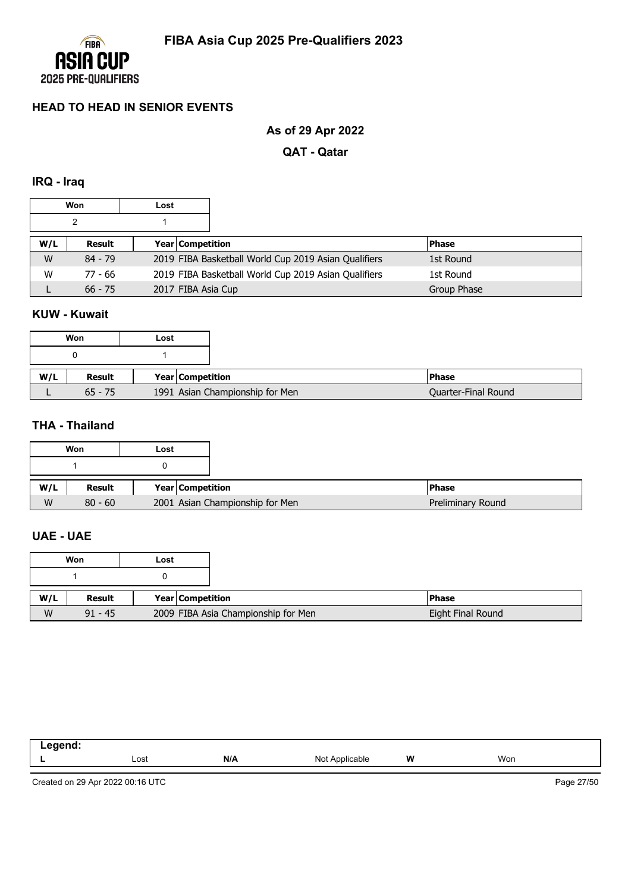

# **As of 29 Apr 2022**

**QAT - Qatar**

#### **IRQ - Iraq**

|     | Won       | Lost |                    |                                                      |              |
|-----|-----------|------|--------------------|------------------------------------------------------|--------------|
|     |           |      |                    |                                                      |              |
| W/L | Result    |      | Year Competition   |                                                      | <b>Phase</b> |
| W   | $84 - 79$ |      |                    | 2019 FIBA Basketball World Cup 2019 Asian Qualifiers | 1st Round    |
| W   | 77 - 66   |      |                    | 2019 FIBA Basketball World Cup 2019 Asian Qualifiers | 1st Round    |
|     | $66 - 75$ |      | 2017 FIBA Asia Cup |                                                      | Group Phase  |

### **KUW - Kuwait**

|     | Won       | Lost |                                 |                     |
|-----|-----------|------|---------------------------------|---------------------|
|     |           |      |                                 |                     |
| W/L | Result    |      | Year Competition                | <b>Phase</b>        |
|     | $65 - 75$ |      | 1991 Asian Championship for Men | Quarter-Final Round |

### **THA - Thailand**

| Won | Lost             |                                 |
|-----|------------------|---------------------------------|
|     |                  |                                 |
| W/L | Year Competition |                                 |
| W   |                  | 2001 Asian Championship for Men |

### **UAE - UAE**

|     | Won       | Lost             |                                     |  |
|-----|-----------|------------------|-------------------------------------|--|
|     |           |                  |                                     |  |
| W/L | Result    | Year Competition |                                     |  |
| W   | $91 - 45$ |                  | 2009 FIBA Asia Championship for Men |  |

| - - - - - - -<br>- - - |      |     |                                         |   |     |
|------------------------|------|-----|-----------------------------------------|---|-----|
|                        | Lost | N/A | N <sub>Io</sub><br>$n$ nnliach<br>11011 | W | Won |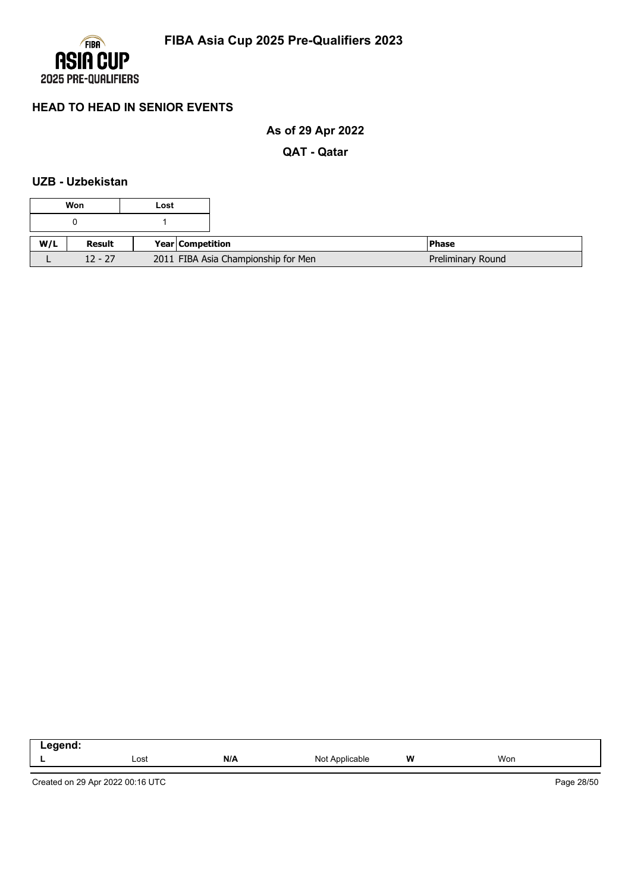

# **As of 29 Apr 2022**

**QAT - Qatar**

### **UZB - Uzbekistan**

|     | Won       | Lost |                  |                                     |                   |
|-----|-----------|------|------------------|-------------------------------------|-------------------|
|     |           |      |                  |                                     |                   |
| W/L | Result    |      | Year Competition |                                     | <b>Phase</b>      |
|     | $12 - 27$ |      |                  | 2011 FIBA Asia Championship for Men | Preliminary Round |

| <b>ANANA</b><br>no<br>_<br>. |      |     |                     |          |     |  |
|------------------------------|------|-----|---------------------|----------|-----|--|
|                              | ∟ost | N/A | : Applicable<br>Not | W<br>. . | Won |  |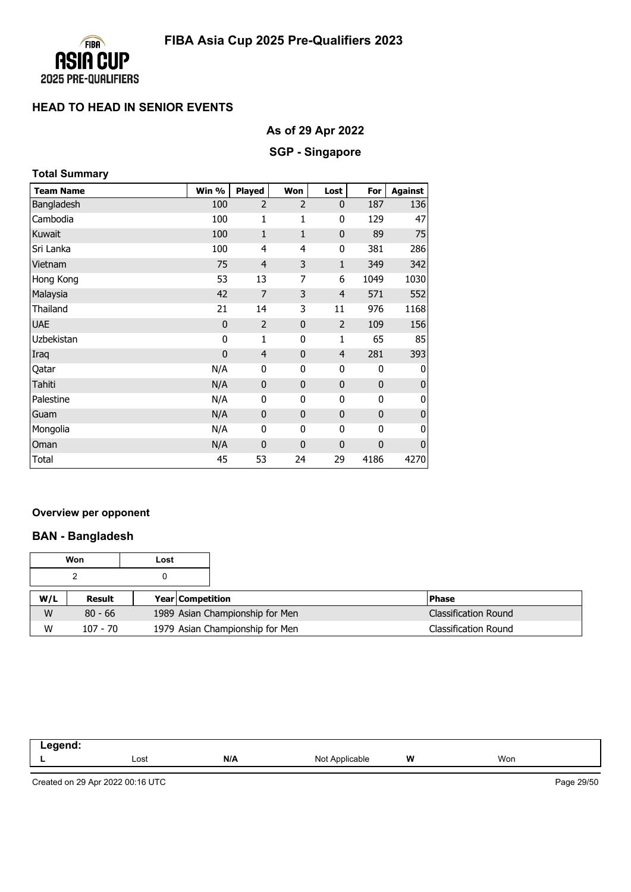

# **As of 29 Apr 2022**

### **SGP - Singapore**

| <b>Total Summary</b> |             |                |                |                |              |                |
|----------------------|-------------|----------------|----------------|----------------|--------------|----------------|
| <b>Team Name</b>     | Win %       | Played         | Won            | Lost           | For          | <b>Against</b> |
| Bangladesh           | 100         | $\overline{2}$ | $\overline{2}$ | 0              | 187          | 136            |
| Cambodia             | 100         | $\mathbf{1}$   | 1              | 0              | 129          | 47             |
| Kuwait               | 100         | 1              | $\mathbf{1}$   | 0              | 89           | 75             |
| Sri Lanka            | 100         | 4              | 4              | 0              | 381          | 286            |
| Vietnam              | 75          | 4              | 3              | $\mathbf{1}$   | 349          | 342            |
| Hong Kong            | 53          | 13             | 7              | 6              | 1049         | 1030           |
| Malaysia             | 42          | 7              | 3              | $\overline{4}$ | 571          | 552            |
| Thailand             | 21          | 14             | 3              | 11             | 976          | 1168           |
| <b>UAE</b>           | $\mathbf 0$ | $\overline{2}$ | $\mathbf 0$    | $\overline{2}$ | 109          | 156            |
| Uzbekistan           | 0           | $\mathbf{1}$   | $\mathbf{0}$   | 1              | 65           | 85             |
| Iraq                 | $\mathbf 0$ | 4              | $\mathbf{0}$   | $\overline{4}$ | 281          | 393            |
| Qatar                | N/A         | 0              | 0              | 0              | 0            | O              |
| Tahiti               | N/A         | $\mathbf{0}$   | $\bf{0}$       | 0              | $\mathbf{0}$ | O              |
| Palestine            | N/A         | 0              | 0              | 0              | 0            | O              |
| Guam                 | N/A         | 0              | $\mathbf{0}$   | $\mathbf{0}$   | $\mathbf{0}$ | O              |
| Mongolia             | N/A         | 0              | $\pmb{0}$      | 0              | 0            | O              |
| Oman                 | N/A         | $\mathbf 0$    | $\mathbf{0}$   | 0              | $\mathbf 0$  | O              |
| Total                | 45          | 53             | 24             | 29             | 4186         | 4270           |

#### **Overview per opponent**

### **BAN - Bangladesh**

|     | Won        | Lost |                                 |  |                             |
|-----|------------|------|---------------------------------|--|-----------------------------|
|     |            |      |                                 |  |                             |
| W/L | Result     |      | <b>Year Competition</b>         |  | <b>Phase</b>                |
| W   | $80 - 66$  |      | 1989 Asian Championship for Men |  | <b>Classification Round</b> |
| W   | $107 - 70$ |      | 1979 Asian Championship for Men |  | <b>Classification Round</b> |

| امصمعت<br>-- |      |     |                   |   |     |
|--------------|------|-----|-------------------|---|-----|
| -            | Lost | N/A | Not<br>Applicable | W | Won |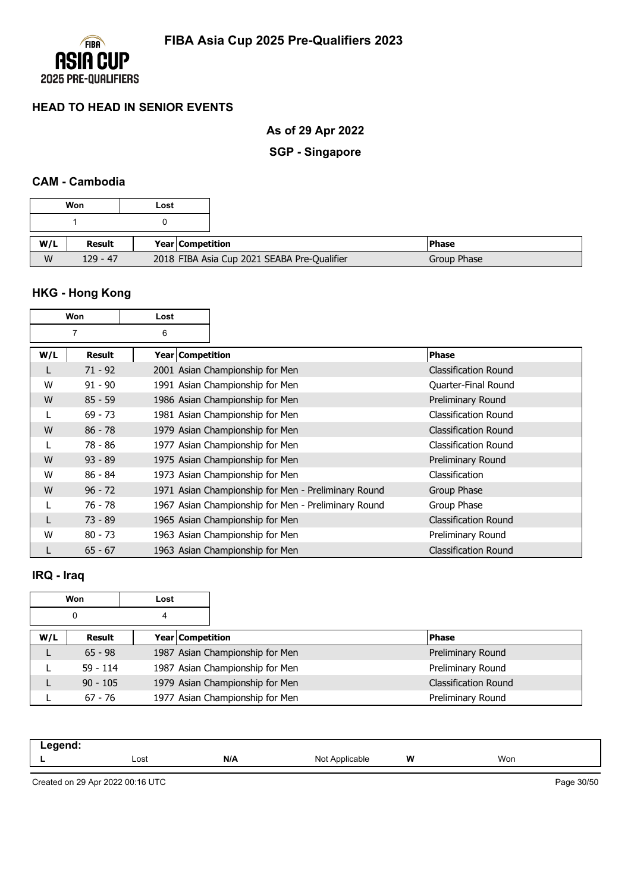

**As of 29 Apr 2022**

**SGP - Singapore**

### **CAM - Cambodia**

|     | Won        | Lost |                         |                                             |             |
|-----|------------|------|-------------------------|---------------------------------------------|-------------|
|     |            |      |                         |                                             |             |
| W/L | Result     |      | <b>Year Competition</b> |                                             | l Phase     |
| W   | $129 - 47$ |      |                         | 2018 FIBA Asia Cup 2021 SEABA Pre-Qualifier | Group Phase |

# **HKG - Hong Kong**

| Won |                | Lost                    |                                                     |                             |
|-----|----------------|-------------------------|-----------------------------------------------------|-----------------------------|
|     | $\overline{7}$ | 6                       |                                                     |                             |
| W/L | Result         | <b>Year Competition</b> |                                                     | <b>Phase</b>                |
| L   | $71 - 92$      |                         | 2001 Asian Championship for Men                     | <b>Classification Round</b> |
| W   | $91 - 90$      |                         | 1991 Asian Championship for Men                     | Quarter-Final Round         |
| W   | $85 - 59$      |                         | 1986 Asian Championship for Men                     | Preliminary Round           |
|     | $69 - 73$      |                         | 1981 Asian Championship for Men                     | Classification Round        |
| W   | $86 - 78$      |                         | 1979 Asian Championship for Men                     | <b>Classification Round</b> |
|     | 78 - 86        |                         | 1977 Asian Championship for Men                     | Classification Round        |
| W   | $93 - 89$      |                         | 1975 Asian Championship for Men                     | Preliminary Round           |
| W   | $86 - 84$      |                         | 1973 Asian Championship for Men                     | Classification              |
| W   | $96 - 72$      |                         | 1971 Asian Championship for Men - Preliminary Round | Group Phase                 |
|     | 76 - 78        |                         | 1967 Asian Championship for Men - Preliminary Round | Group Phase                 |
|     | $73 - 89$      |                         | 1965 Asian Championship for Men                     | <b>Classification Round</b> |
| W   | $80 - 73$      |                         | 1963 Asian Championship for Men                     | Preliminary Round           |
|     | $65 - 67$      |                         | 1963 Asian Championship for Men                     | <b>Classification Round</b> |

# **IRQ - Iraq**

|     | Won        | Lost             |                                 |                             |
|-----|------------|------------------|---------------------------------|-----------------------------|
|     | 0          | 4                |                                 |                             |
| W/L | Result     | Year Competition |                                 | <b>Phase</b>                |
| L   | $65 - 98$  |                  | 1987 Asian Championship for Men | Preliminary Round           |
|     | $59 - 114$ |                  | 1987 Asian Championship for Men | Preliminary Round           |
|     | $90 - 105$ |                  | 1979 Asian Championship for Men | <b>Classification Round</b> |
|     | $67 - 76$  |                  | 1977 Asian Championship for Men | Preliminary Round           |

| -- 3 |      |     |                                          |   |     |  |
|------|------|-----|------------------------------------------|---|-----|--|
| --   | Lost | N/A | Nl∩t<br>$\Delta$ palica<br>abie<br>11017 | W | Won |  |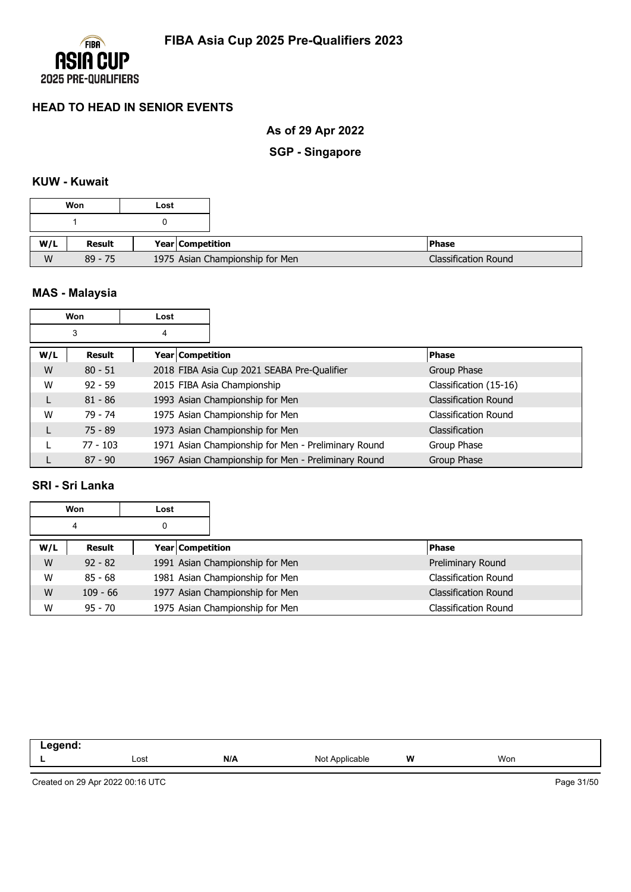

# **As of 29 Apr 2022**

**SGP - Singapore**

# **KUW - Kuwait**

|     | Won       | Lost |                                 |
|-----|-----------|------|---------------------------------|
|     |           |      |                                 |
| W/L | Result    |      | Year Competition                |
| W   | $89 - 75$ |      | 1975 Asian Championship for Men |

# **MAS - Malaysia**

| Won<br>Lost |            |   |                                                     |                             |
|-------------|------------|---|-----------------------------------------------------|-----------------------------|
|             | 3          | 4 |                                                     |                             |
| W/L         | Result     |   | Year   Competition                                  | <b>Phase</b>                |
| W           | $80 - 51$  |   | 2018 FIBA Asia Cup 2021 SEABA Pre-Qualifier         | Group Phase                 |
| W           | $92 - 59$  |   | 2015 FIBA Asia Championship                         | Classification (15-16)      |
| L           | $81 - 86$  |   | 1993 Asian Championship for Men                     | <b>Classification Round</b> |
| W           | 79 - 74    |   | 1975 Asian Championship for Men                     | Classification Round        |
|             | $75 - 89$  |   | 1973 Asian Championship for Men                     | <b>Classification</b>       |
|             | $77 - 103$ |   | 1971 Asian Championship for Men - Preliminary Round | Group Phase                 |
|             | $87 - 90$  |   | 1967 Asian Championship for Men - Preliminary Round | Group Phase                 |

### **SRI - Sri Lanka**

|     | <b>Won</b> | Lost |                                 |                             |  |
|-----|------------|------|---------------------------------|-----------------------------|--|
|     | 4          | 0    |                                 |                             |  |
| W/L | Result     |      | <b>Year Competition</b>         | <b>Phase</b>                |  |
| W   | $92 - 82$  |      | 1991 Asian Championship for Men | Preliminary Round           |  |
| W   | $85 - 68$  |      | 1981 Asian Championship for Men | Classification Round        |  |
| W   | $109 - 66$ |      | 1977 Asian Championship for Men | <b>Classification Round</b> |  |
| W   | $95 - 70$  |      | 1975 Asian Championship for Men | <b>Classification Round</b> |  |

| eend:<br>. |      |     |                |   |     |
|------------|------|-----|----------------|---|-----|
| . .        | Lost | N/A | Not Applicable | W | Won |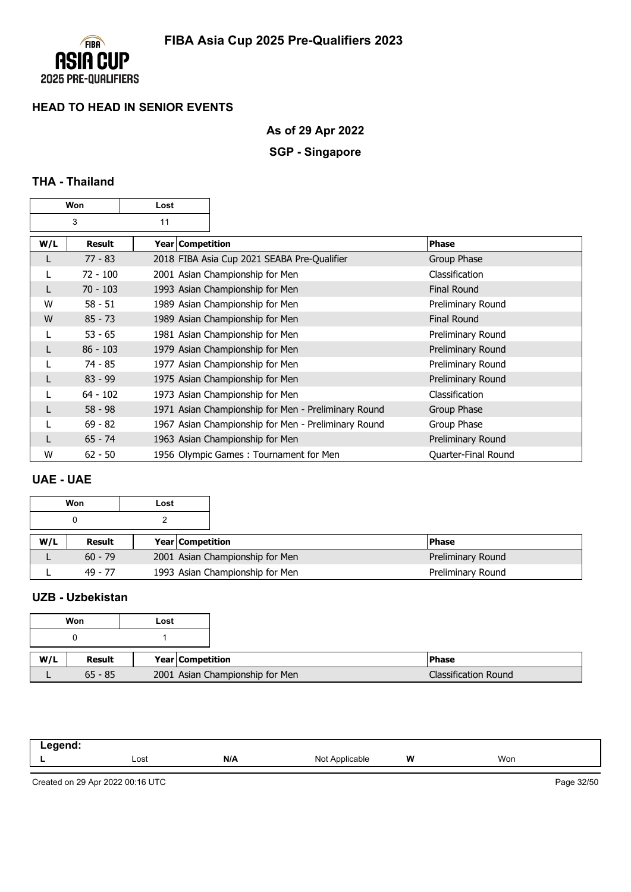

# **As of 29 Apr 2022**

# **SGP - Singapore**

# **THA - Thailand**

| Won     |            | Lost |                    |                                                     |                     |
|---------|------------|------|--------------------|-----------------------------------------------------|---------------------|
| 3<br>11 |            |      |                    |                                                     |                     |
| W/L     | Result     |      | Year   Competition |                                                     | <b>Phase</b>        |
| L       | $77 - 83$  |      |                    | 2018 FIBA Asia Cup 2021 SEABA Pre-Qualifier         | Group Phase         |
|         | 72 - 100   |      |                    | 2001 Asian Championship for Men                     | Classification      |
| L       | $70 - 103$ |      |                    | 1993 Asian Championship for Men                     | <b>Final Round</b>  |
| W       | $58 - 51$  |      |                    | 1989 Asian Championship for Men                     | Preliminary Round   |
| W       | $85 - 73$  |      |                    | 1989 Asian Championship for Men                     | <b>Final Round</b>  |
|         | $53 - 65$  |      |                    | 1981 Asian Championship for Men                     | Preliminary Round   |
| L       | $86 - 103$ |      |                    | 1979 Asian Championship for Men                     | Preliminary Round   |
|         | 74 - 85    |      |                    | 1977 Asian Championship for Men                     | Preliminary Round   |
| L       | $83 - 99$  |      |                    | 1975 Asian Championship for Men                     | Preliminary Round   |
|         | $64 - 102$ |      |                    | 1973 Asian Championship for Men                     | Classification      |
| L       | $58 - 98$  |      |                    | 1971 Asian Championship for Men - Preliminary Round | Group Phase         |
|         | $69 - 82$  |      |                    | 1967 Asian Championship for Men - Preliminary Round | Group Phase         |
| L       | $65 - 74$  |      |                    | 1963 Asian Championship for Men                     | Preliminary Round   |
| W       | $62 - 50$  |      |                    | 1956 Olympic Games: Tournament for Men              | Quarter-Final Round |

### **UAE - UAE**

|     | Won       | Lost |                         |                                 |                   |
|-----|-----------|------|-------------------------|---------------------------------|-------------------|
|     |           |      |                         |                                 |                   |
| W/L | Result    |      | <b>Year Competition</b> |                                 | <b>Phase</b>      |
|     | $60 - 79$ |      |                         | 2001 Asian Championship for Men | Preliminary Round |
|     | 49 - 77   |      |                         | 1993 Asian Championship for Men | Preliminary Round |

## **UZB - Uzbekistan**

|     | Won       | Lost |                  |                                 |  |
|-----|-----------|------|------------------|---------------------------------|--|
|     |           |      |                  |                                 |  |
| W/L | Result    |      | Year Competition |                                 |  |
|     | $65 - 85$ |      |                  | 2001 Asian Championship for Men |  |

| ogend.<br>.<br>$\sim$ $\sim$ |      |            |                   |   |     |
|------------------------------|------|------------|-------------------|---|-----|
| . .                          | Lost | N/I<br>ייי | Not<br>Applicable | W | Won |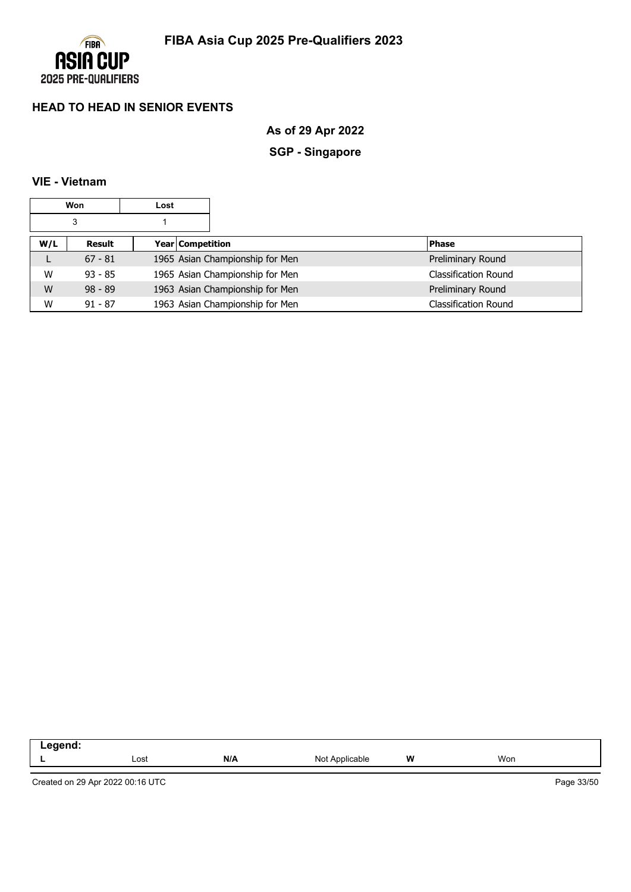

**As of 29 Apr 2022**

# **SGP - Singapore**

### **VIE - Vietnam**

|     | Won       | Lost |                                 |                             |
|-----|-----------|------|---------------------------------|-----------------------------|
|     | 3         |      |                                 |                             |
| W/L | Result    |      | Year Competition                | <b>Phase</b>                |
| L   | $67 - 81$ |      | 1965 Asian Championship for Men | Preliminary Round           |
| W   | $93 - 85$ |      | 1965 Asian Championship for Men | Classification Round        |
| W   | $98 - 89$ |      | 1963 Asian Championship for Men | Preliminary Round           |
| W   | $91 - 87$ |      | 1963 Asian Championship for Men | <b>Classification Round</b> |

| $\sim$ |      |     |                        |        |     |  |
|--------|------|-----|------------------------|--------|-----|--|
|        | Lost | N/A | \nnlic:<br>able<br>NI∩ | W<br>. | Won |  |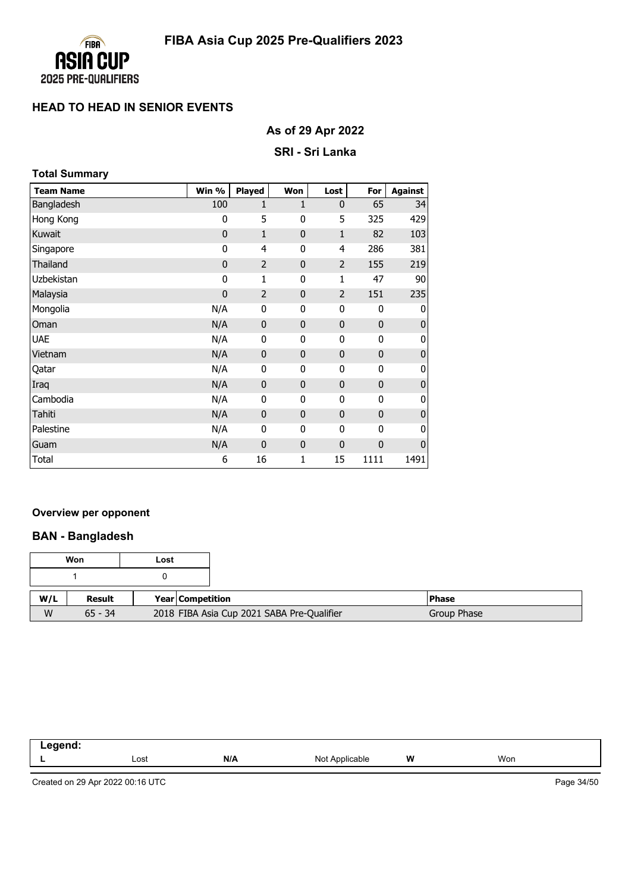

# **As of 29 Apr 2022**

### **SRI - Sri Lanka**

| <b>Total Summary</b> |             |                |              |                |              |                |
|----------------------|-------------|----------------|--------------|----------------|--------------|----------------|
| <b>Team Name</b>     | Win %       | <b>Played</b>  | Won          | Lost           | For          | <b>Against</b> |
| Bangladesh           | 100         | $\mathbf{1}$   | 1            | $\mathbf{0}$   | 65           | 34             |
| Hong Kong            | 0           | 5              | 0            | 5              | 325          | 429            |
| Kuwait               | $\mathbf 0$ | $\mathbf{1}$   | $\mathbf 0$  | $\mathbf{1}$   | 82           | 103            |
| Singapore            | 0           | 4              | 0            | 4              | 286          | 381            |
| Thailand             | $\mathbf 0$ | $\overline{2}$ | $\mathbf{0}$ | $\overline{2}$ | 155          | 219            |
| Uzbekistan           | 0           | 1              | 0            | 1              | 47           | 90             |
| Malaysia             | $\mathbf 0$ | $\overline{2}$ | 0            | $\overline{2}$ | 151          | 235            |
| Mongolia             | N/A         | $\mathbf{0}$   | 0            | 0              | $\mathbf{0}$ | 0              |
| Oman                 | N/A         | $\mathbf{0}$   | $\mathbf 0$  | $\mathbf{0}$   | $\mathbf{0}$ | O              |
| <b>UAE</b>           | N/A         | $\mathbf{0}$   | 0            | $\mathbf 0$    | $\mathbf{0}$ | 0              |
| Vietnam              | N/A         | $\mathbf{0}$   | $\mathbf{0}$ | $\mathbf{0}$   | $\mathbf{0}$ | O              |
| Qatar                | N/A         | 0              | 0            | 0              | 0            | O              |
| Iraq                 | N/A         | $\mathbf 0$    | $\mathbf 0$  | $\mathbf 0$    | $\mathbf{0}$ | O              |
| Cambodia             | N/A         | $\mathbf{0}$   | 0            | 0              | $\mathbf{0}$ | 0              |
| Tahiti               | N/A         | $\mathbf{0}$   | $\mathbf 0$  | $\mathbf{0}$   | $\mathbf{0}$ | O              |
| Palestine            | N/A         | $\mathbf{0}$   | 0            | $\mathbf 0$    | $\mathbf{0}$ | 0              |
| Guam                 | N/A         | $\mathbf{0}$   | $\mathbf 0$  | $\mathbf{0}$   | $\mathbf 0$  | 0              |
| Total                | 6           | 16             | 1            | 15             | 1111         | 1491           |

#### **Overview per opponent**

### **BAN - Bangladesh**

|     | Won       | Lost |                                            |
|-----|-----------|------|--------------------------------------------|
|     |           |      |                                            |
| W/L | Result    |      | Year Competition                           |
| W   | $65 - 34$ |      | 2018 FIBA Asia Cup 2021 SABA Pre-Qualifier |

| -----<br>пс<br>. .<br>--- |      |     |                     |          |     |  |
|---------------------------|------|-----|---------------------|----------|-----|--|
|                           | Lost | N/A | Not<br>: Applicable | W<br>. . | Won |  |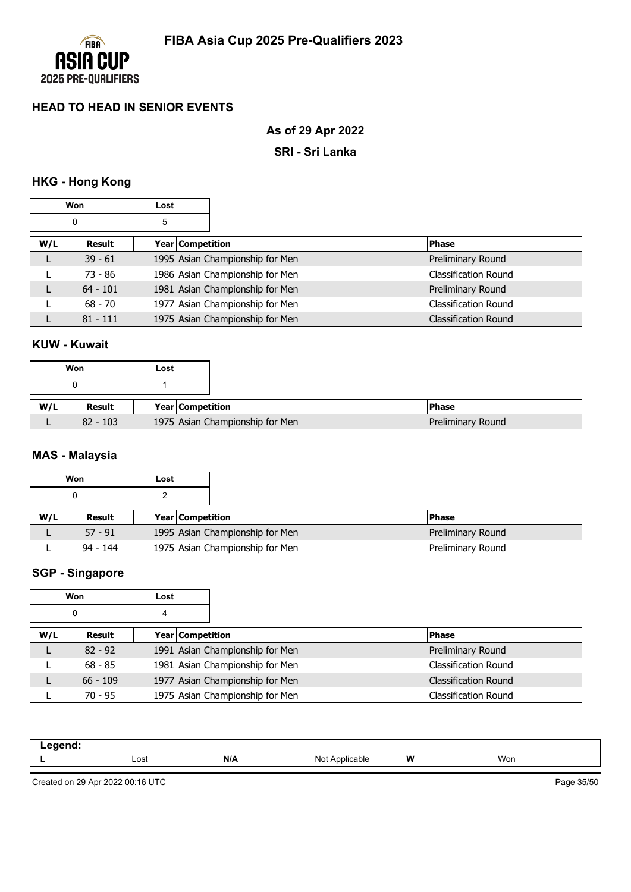

# **As of 29 Apr 2022**

### **SRI - Sri Lanka**

# **HKG - Hong Kong**

|     | Won        | Lost               |                                 |                             |
|-----|------------|--------------------|---------------------------------|-----------------------------|
|     | 0          | 5                  |                                 |                             |
| W/L | Result     | Year   Competition |                                 | <b>Phase</b>                |
|     | $39 - 61$  |                    | 1995 Asian Championship for Men | Preliminary Round           |
|     | $73 - 86$  |                    | 1986 Asian Championship for Men | <b>Classification Round</b> |
|     | $64 - 101$ |                    | 1981 Asian Championship for Men | Preliminary Round           |
|     | $68 - 70$  |                    | 1977 Asian Championship for Men | Classification Round        |
|     | $81 - 111$ |                    | 1975 Asian Championship for Men | <b>Classification Round</b> |

# **KUW - Kuwait**

|     | Won        | Lost |                                 |  |
|-----|------------|------|---------------------------------|--|
|     |            |      |                                 |  |
| W/L | Result     |      | <b>Year Competition</b>         |  |
|     | $82 - 103$ |      | 1975 Asian Championship for Men |  |

## **MAS - Malaysia**

|     | Won        | Lost |                         |                                 |                   |
|-----|------------|------|-------------------------|---------------------------------|-------------------|
|     |            |      |                         |                                 |                   |
| W/L | Result     |      | <b>Year Competition</b> |                                 | <b>Phase</b>      |
|     | $57 - 91$  |      |                         | 1995 Asian Championship for Men | Preliminary Round |
|     | $94 - 144$ |      |                         | 1975 Asian Championship for Men | Preliminary Round |

### **SGP - Singapore**

|     | Won        | Lost             |                                 |                             |
|-----|------------|------------------|---------------------------------|-----------------------------|
|     | 0          | 4                |                                 |                             |
| W/L | Result     | Year Competition |                                 | <b>Phase</b>                |
| L   | $82 - 92$  |                  | 1991 Asian Championship for Men | Preliminary Round           |
|     | $68 - 85$  |                  | 1981 Asian Championship for Men | Classification Round        |
| L   | $66 - 109$ |                  | 1977 Asian Championship for Men | <b>Classification Round</b> |
|     | $70 - 95$  |                  | 1975 Asian Championship for Men | <b>Classification Round</b> |

| -- 3 |      |     |                       |   |     |  |
|------|------|-----|-----------------------|---|-----|--|
| --   | Lost | N/A | הוח<br>≎able<br>11011 | W | Won |  |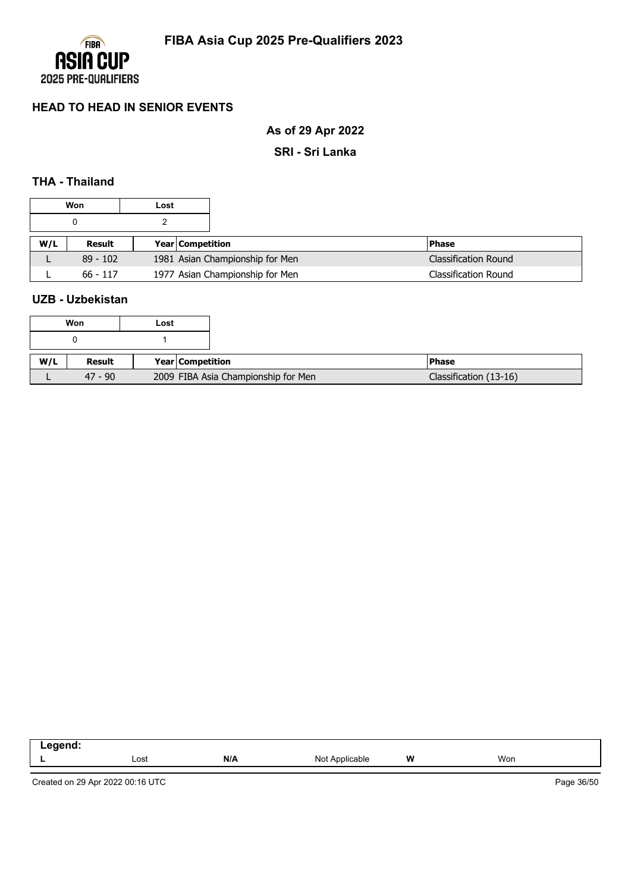

**As of 29 Apr 2022**

**SRI - Sri Lanka**

# **THA - Thailand**

|     | Won        | Lost |                         |                                 |                             |
|-----|------------|------|-------------------------|---------------------------------|-----------------------------|
|     |            |      |                         |                                 |                             |
| W/L | Result     |      | <b>Year Competition</b> |                                 | <b>Phase</b>                |
| ட   | $89 - 102$ |      |                         | 1981 Asian Championship for Men | <b>Classification Round</b> |
|     | $66 - 117$ |      |                         | 1977 Asian Championship for Men | <b>Classification Round</b> |

### **UZB - Uzbekistan**

|     | Won       | Lost |                                     |  |
|-----|-----------|------|-------------------------------------|--|
|     |           |      |                                     |  |
| W/L | Result    |      | Year Competition                    |  |
|     | $47 - 90$ |      | 2009 FIBA Asia Championship for Men |  |

| eaend<br>.<br>the contract of the contract of<br>_____ |      |     |                     |           |     |
|--------------------------------------------------------|------|-----|---------------------|-----------|-----|
|                                                        | Lost | N/A | . Applicable<br>Not | W<br>$ -$ | Won |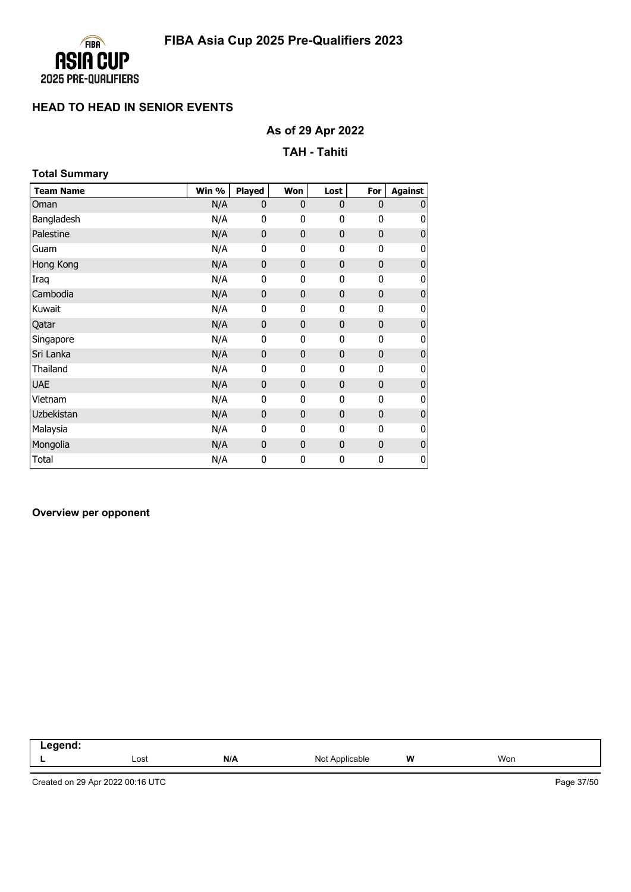

# **As of 29 Apr 2022**

#### **TAH - Tahiti**

| <b>Total Summary</b> |       |              |                |              |              |                |
|----------------------|-------|--------------|----------------|--------------|--------------|----------------|
| <b>Team Name</b>     | Win % | Played       | Won            | Lost         | For          | <b>Against</b> |
| Oman                 | N/A   | $\mathbf{0}$ | $\mathbf{0}$   | $\mathbf{0}$ | 0            | O              |
| Bangladesh           | N/A   | 0            | 0              | 0            | 0            | 0              |
| Palestine            | N/A   | 0            | $\bf{0}$       | $\mathbf{0}$ | 0            | O              |
| Guam                 | N/A   | 0            | 0              | 0            | 0            | O              |
| Hong Kong            | N/A   | $\mathbf 0$  | $\mathbf 0$    | $\mathbf{0}$ | 0            | O              |
| Iraq                 | N/A   | 0            | 0              | 0            | 0            | 0              |
| Cambodia             | N/A   | $\mathbf 0$  | $\mathbf{0}$   | $\mathbf{0}$ | 0            | O              |
| Kuwait               | N/A   | 0            | 0              | 0            | 0            | 0              |
| Qatar                | N/A   | 0            | $\bf{0}$       | 0            | 0            | O              |
| Singapore            | N/A   | 0            | 0              | 0            | 0            | 0              |
| Sri Lanka            | N/A   | 0            | $\mathbf{0}$   | $\mathbf{0}$ | $\mathbf{0}$ | O              |
| Thailand             | N/A   | 0            | 0              | 0            | 0            | O              |
| <b>UAE</b>           | N/A   | $\mathbf 0$  | $\overline{0}$ | $\mathbf{0}$ | 0            | O              |
| Vietnam              | N/A   | 0            | 0              | 0            | $\mathbf{0}$ | O              |
| Uzbekistan           | N/A   | 0            | $\bf{0}$       | $\mathbf{0}$ | 0            | O              |
| Malaysia             | N/A   | 0            | 0              | 0            | 0            | O              |
| Mongolia             | N/A   | 0            | $\bf{0}$       | 0            | 0            | O              |
| Total                | N/A   | 0            | 0              | 0            | 0            | 0              |

#### **Overview per opponent**

| Legend: |      |     |                |   |     |
|---------|------|-----|----------------|---|-----|
|         | Lost | N/A | Not Applicable | W | Won |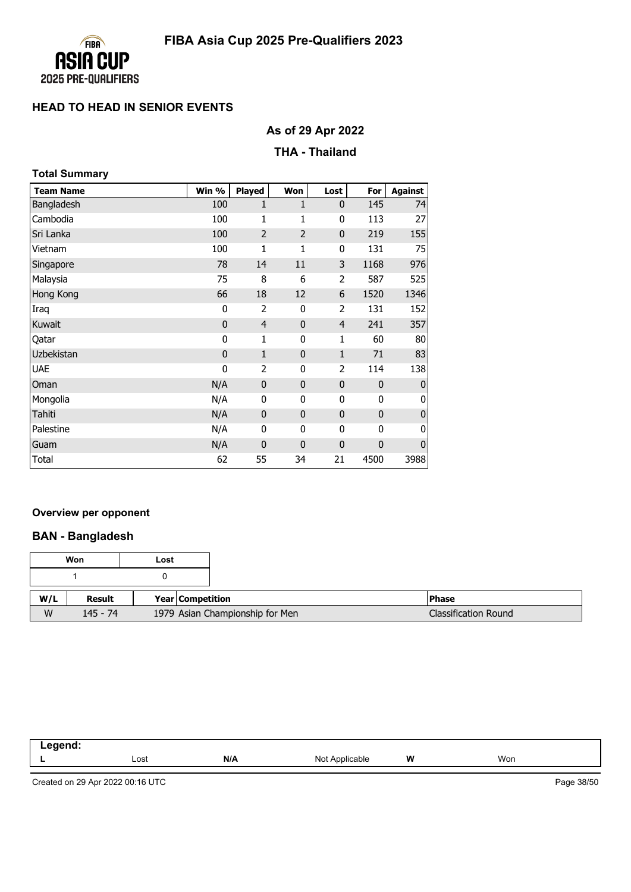

# **As of 29 Apr 2022**

### **THA - Thailand**

| <b>Total Summary</b> |              |                |                |                |              |                |
|----------------------|--------------|----------------|----------------|----------------|--------------|----------------|
| <b>Team Name</b>     | Win %        | <b>Played</b>  | Won            | Lost           | For          | <b>Against</b> |
| Bangladesh           | 100          | 1              | 1              | $\mathbf 0$    | 145          | 74             |
| Cambodia             | 100          | 1              | 1              | 0              | 113          | 27             |
| Sri Lanka            | 100          | $\overline{2}$ | $\overline{2}$ | $\mathbf 0$    | 219          | 155            |
| Vietnam              | 100          | 1              | 1              | 0              | 131          | 75             |
| Singapore            | 78           | 14             | 11             | 3              | 1168         | 976            |
| Malaysia             | 75           | 8              | 6              | $\overline{2}$ | 587          | 525            |
| Hong Kong            | 66           | 18             | 12             | 6              | 1520         | 1346           |
| Iraq                 | 0            | 2              | 0              | 2              | 131          | 152            |
| Kuwait               | $\mathbf 0$  | $\overline{4}$ | $\mathbf{0}$   | $\overline{4}$ | 241          | 357            |
| Qatar                | 0            | 1              | 0              | 1              | 60           | 80             |
| Uzbekistan           | $\mathbf{0}$ | $\mathbf{1}$   | $\mathbf{0}$   | $\mathbf{1}$   | 71           | 83             |
| <b>UAE</b>           | 0            | $\overline{2}$ | 0              | $\overline{2}$ | 114          | 138            |
| Oman                 | N/A          | $\mathbf 0$    | $\mathbf{0}$   | $\mathbf{0}$   | $\mathbf{0}$ | $\mathbf{0}$   |
| Mongolia             | N/A          | 0              | 0              | 0              | 0            | 0              |
| Tahiti               | N/A          | $\mathbf{0}$   | 0              | $\mathbf 0$    | $\mathbf{0}$ | $\bf{0}$       |
| Palestine            | N/A          | 0              | 0              | 0              | 0            | 0              |
| Guam                 | N/A          | $\mathbf{0}$   | $\overline{0}$ | $\mathbf 0$    | $\mathbf 0$  | $\mathbf 0$    |
| Total                | 62           | 55             | 34             | 21             | 4500         | 3988           |

#### **Overview per opponent**

### **BAN - Bangladesh**

|     | Won        | Lost |                         |                                 |                             |
|-----|------------|------|-------------------------|---------------------------------|-----------------------------|
|     |            |      |                         |                                 |                             |
| W/L | Result     |      | <b>Year Competition</b> |                                 | <b>Phase</b>                |
| W   | $145 - 74$ |      |                         | 1979 Asian Championship for Men | <b>Classification Round</b> |

| nuunu<br>п<br>--<br>--- |      |     |                   |         |     |
|-------------------------|------|-----|-------------------|---------|-----|
|                         | Lost | N/A | Not<br>Applicable | W<br>-- | Won |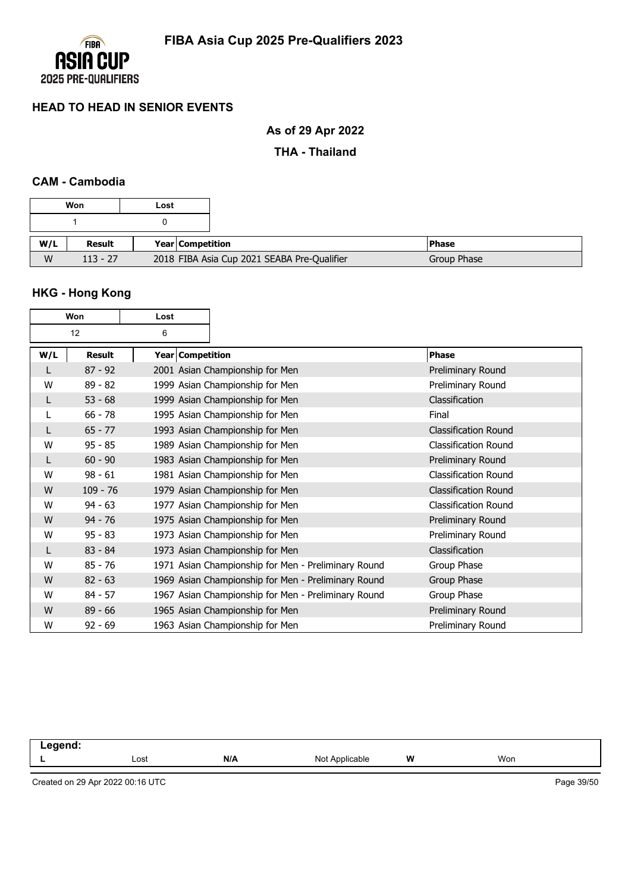

# **As of 29 Apr 2022**

### **THA - Thailand**

### **CAM - Cambodia**

|     | Won        | Lost |                         |                                             |             |
|-----|------------|------|-------------------------|---------------------------------------------|-------------|
|     |            |      |                         |                                             |             |
| W/L | Result     |      | <b>Year Competition</b> |                                             | l Phase     |
| W   | $113 - 27$ |      |                         | 2018 FIBA Asia Cup 2021 SEABA Pre-Qualifier | Group Phase |

# **HKG - Hong Kong**

|     | Won        | Lost |                  |                                                     |                             |
|-----|------------|------|------------------|-----------------------------------------------------|-----------------------------|
|     | 12         | 6    |                  |                                                     |                             |
| W/L | Result     |      | Year Competition |                                                     | <b>Phase</b>                |
|     | $87 - 92$  |      |                  | 2001 Asian Championship for Men                     | Preliminary Round           |
| W   | $89 - 82$  |      |                  | 1999 Asian Championship for Men                     | Preliminary Round           |
| L   | $53 - 68$  |      |                  | 1999 Asian Championship for Men                     | Classification              |
| L   | $66 - 78$  |      |                  | 1995 Asian Championship for Men                     | Final                       |
|     | $65 - 77$  |      |                  | 1993 Asian Championship for Men                     | <b>Classification Round</b> |
| W   | $95 - 85$  |      |                  | 1989 Asian Championship for Men                     | <b>Classification Round</b> |
| L   | $60 - 90$  |      |                  | 1983 Asian Championship for Men                     | Preliminary Round           |
| W   | $98 - 61$  |      |                  | 1981 Asian Championship for Men                     | <b>Classification Round</b> |
| W   | $109 - 76$ |      |                  | 1979 Asian Championship for Men                     | <b>Classification Round</b> |
| W   | $94 - 63$  |      |                  | 1977 Asian Championship for Men                     | <b>Classification Round</b> |
| W   | $94 - 76$  |      |                  | 1975 Asian Championship for Men                     | Preliminary Round           |
| W   | $95 - 83$  |      |                  | 1973 Asian Championship for Men                     | Preliminary Round           |
|     | $83 - 84$  |      |                  | 1973 Asian Championship for Men                     | Classification              |
| W   | $85 - 76$  |      |                  | 1971 Asian Championship for Men - Preliminary Round | Group Phase                 |
| W   | $82 - 63$  |      |                  | 1969 Asian Championship for Men - Preliminary Round | Group Phase                 |
| W   | $84 - 57$  |      |                  | 1967 Asian Championship for Men - Preliminary Round | Group Phase                 |
| W   | $89 - 66$  |      |                  | 1965 Asian Championship for Men                     | Preliminary Round           |
| W   | $92 - 69$  |      |                  | 1963 Asian Championship for Men                     | Preliminary Round           |

**Legend: L** Lost **N/A** Not Applicable **W** Won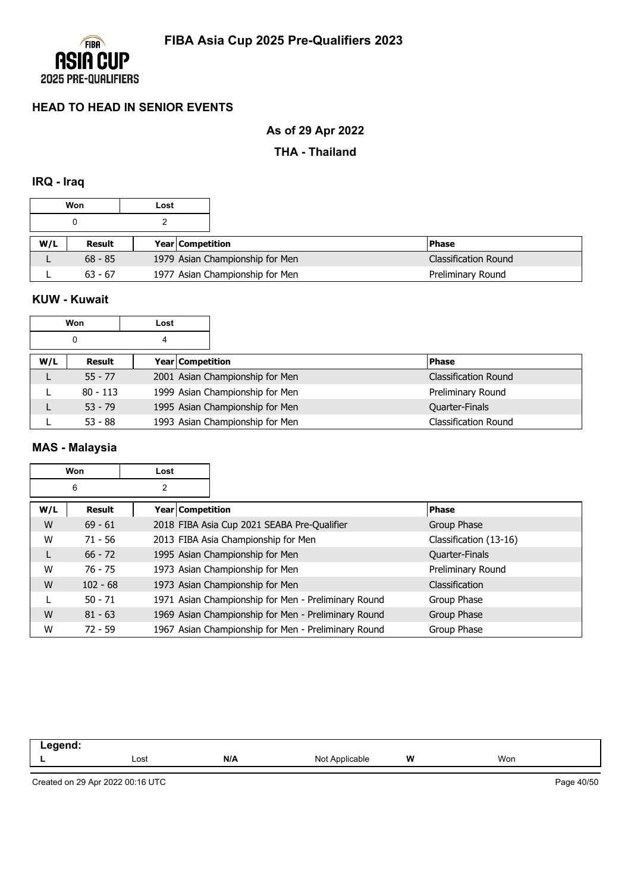

# **As of 29 Apr 2022**

### **THA - Thailand**

#### **IRQ - Iraq**

|     | Won       | Lost |                         |                                 |                      |
|-----|-----------|------|-------------------------|---------------------------------|----------------------|
|     |           |      |                         |                                 |                      |
| W/L | Result    |      | <b>Year Competition</b> |                                 | <b>IPhase</b>        |
|     | $68 - 85$ |      |                         | 1979 Asian Championship for Men | Classification Round |
|     | $63 - 67$ |      |                         | 1977 Asian Championship for Men | Preliminary Round    |

### **KUW - Kuwait**

|     | Won        | Lost             |                                 |                             |
|-----|------------|------------------|---------------------------------|-----------------------------|
|     | 0          | 4                |                                 |                             |
| W/L | Result     | Year Competition |                                 | <b>Phase</b>                |
|     | $55 - 77$  |                  | 2001 Asian Championship for Men | <b>Classification Round</b> |
|     | $80 - 113$ |                  | 1999 Asian Championship for Men | Preliminary Round           |
|     | $53 - 79$  |                  | 1995 Asian Championship for Men | Quarter-Finals              |
|     | $53 - 88$  |                  | 1993 Asian Championship for Men | <b>Classification Round</b> |

### **MAS - Malaysia**

|     | Won        | Lost               |                                                     |                        |
|-----|------------|--------------------|-----------------------------------------------------|------------------------|
|     | 6          | 2                  |                                                     |                        |
| W/L | Result     | Year   Competition |                                                     | <b>Phase</b>           |
| W   | $69 - 61$  |                    | 2018 FIBA Asia Cup 2021 SEABA Pre-Qualifier         | Group Phase            |
| W   | $71 - 56$  |                    | 2013 FIBA Asia Championship for Men                 | Classification (13-16) |
| L.  | $66 - 72$  |                    | 1995 Asian Championship for Men                     | Quarter-Finals         |
| W   | $76 - 75$  |                    | 1973 Asian Championship for Men                     | Preliminary Round      |
| W   | $102 - 68$ |                    | 1973 Asian Championship for Men                     | Classification         |
|     | $50 - 71$  |                    | 1971 Asian Championship for Men - Preliminary Round | Group Phase            |
| W   | $81 - 63$  |                    | 1969 Asian Championship for Men - Preliminary Round | Group Phase            |
| W   | $72 - 59$  |                    | 1967 Asian Championship for Men - Preliminary Round | Group Phase            |

| <b>ANANA</b><br>110<br>_<br>$\sim$ |      |     |                   |   |     |
|------------------------------------|------|-----|-------------------|---|-----|
|                                    | Lost | N/A | Not<br>Applicable | W | Won |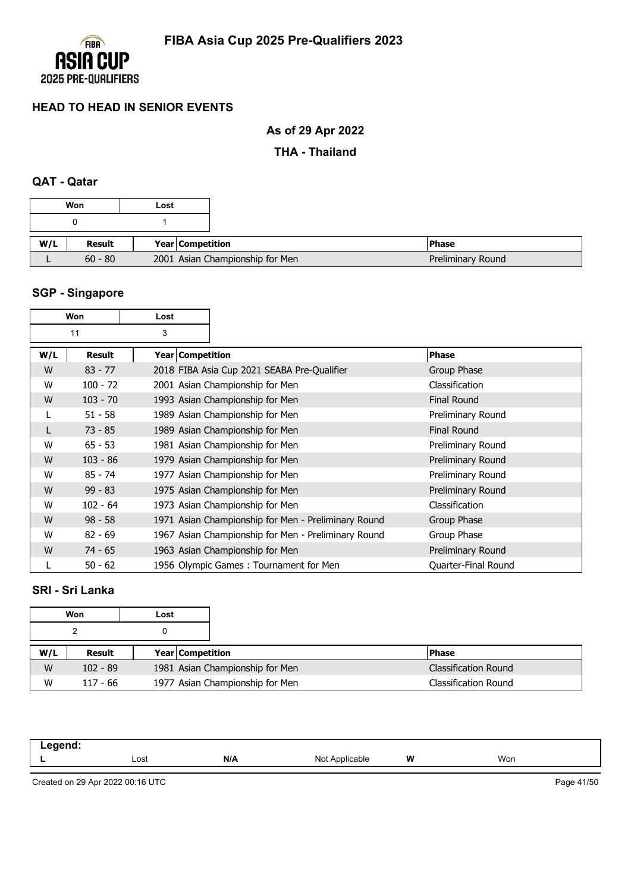

# **As of 29 Apr 2022**

### **THA - Thailand**

## **QAT - Qatar**

|     | Won       | Lost             |                                 |  |
|-----|-----------|------------------|---------------------------------|--|
|     |           |                  |                                 |  |
| W/L | Result    | Year Competition |                                 |  |
|     | $60 - 80$ |                  | 2001 Asian Championship for Men |  |

# **SGP - Singapore**

|     | Won           | Lost |                    |                                                     |                     |
|-----|---------------|------|--------------------|-----------------------------------------------------|---------------------|
|     | 11            | 3    |                    |                                                     |                     |
| W/L | <b>Result</b> |      | Year   Competition |                                                     | <b>Phase</b>        |
| W   | $83 - 77$     |      |                    | 2018 FIBA Asia Cup 2021 SEABA Pre-Qualifier         | Group Phase         |
| W   | $100 - 72$    |      |                    | 2001 Asian Championship for Men                     | Classification      |
| W   | $103 - 70$    |      |                    | 1993 Asian Championship for Men                     | <b>Final Round</b>  |
| L   | $51 - 58$     |      |                    | 1989 Asian Championship for Men                     | Preliminary Round   |
| L   | $73 - 85$     |      |                    | 1989 Asian Championship for Men                     | <b>Final Round</b>  |
| W   | $65 - 53$     |      |                    | 1981 Asian Championship for Men                     | Preliminary Round   |
| W   | $103 - 86$    |      |                    | 1979 Asian Championship for Men                     | Preliminary Round   |
| W   | $85 - 74$     |      |                    | 1977 Asian Championship for Men                     | Preliminary Round   |
| W   | $99 - 83$     |      |                    | 1975 Asian Championship for Men                     | Preliminary Round   |
| W   | $102 - 64$    |      |                    | 1973 Asian Championship for Men                     | Classification      |
| W   | $98 - 58$     |      |                    | 1971 Asian Championship for Men - Preliminary Round | Group Phase         |
| W   | $82 - 69$     |      |                    | 1967 Asian Championship for Men - Preliminary Round | Group Phase         |
| W   | $74 - 65$     |      |                    | 1963 Asian Championship for Men                     | Preliminary Round   |
|     | $50 - 62$     |      |                    | 1956 Olympic Games: Tournament for Men              | Quarter-Final Round |

## **SRI - Sri Lanka**

|     | Won        | Lost |                         |                                 |                             |
|-----|------------|------|-------------------------|---------------------------------|-----------------------------|
|     |            |      |                         |                                 |                             |
| W/L | Result     |      | <b>Year Competition</b> |                                 | <b>Phase</b>                |
| W   | $102 - 89$ |      |                         | 1981 Asian Championship for Men | <b>Classification Round</b> |
| W   | $117 - 66$ |      |                         | 1977 Asian Championship for Men | <b>Classification Round</b> |

| .<br>. |      |     |                   |   |     |  |
|--------|------|-----|-------------------|---|-----|--|
|        | Lost | N/A | Not /<br>olicable | W | Won |  |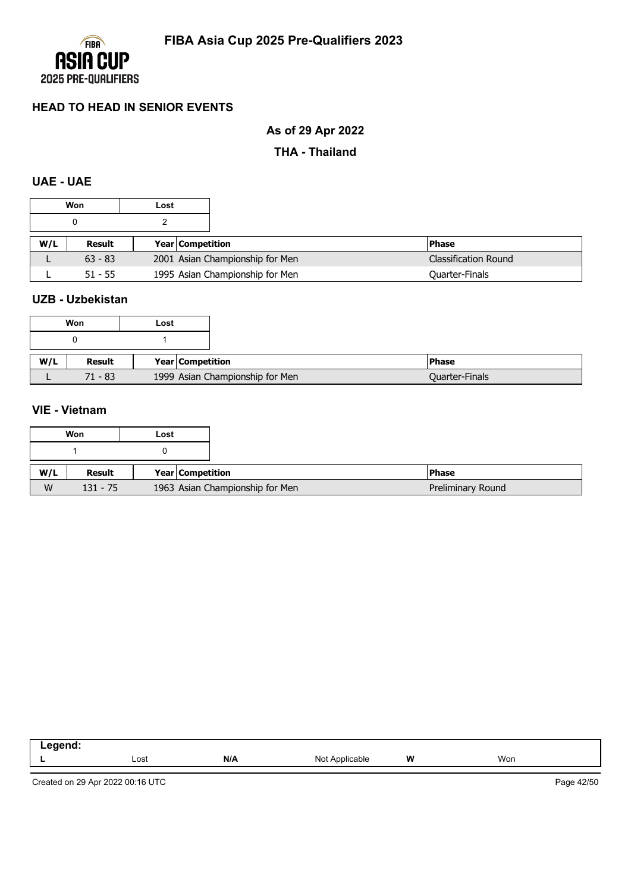

# **As of 29 Apr 2022**

### **THA - Thailand**

## **UAE - UAE**

|     | Won       | Lost                    |                                                                |  |
|-----|-----------|-------------------------|----------------------------------------------------------------|--|
|     |           |                         |                                                                |  |
| W/L | Result    | <b>Year Competition</b> | l Phase                                                        |  |
| ட   | $63 - 83$ |                         | 2001 Asian Championship for Men<br><b>Classification Round</b> |  |
|     | $51 - 55$ |                         | 1995 Asian Championship for Men<br>Quarter-Finals              |  |

### **UZB - Uzbekistan**

|     | Won       | Lost                            |
|-----|-----------|---------------------------------|
|     |           |                                 |
| W/L | Result    | Year   Competition              |
|     | $71 - 83$ | 1999 Asian Championship for Men |

### **VIE - Vietnam**

|     | Won        | Lost |                                 |
|-----|------------|------|---------------------------------|
|     |            |      |                                 |
| W/L | Result     |      | Year Competition                |
| W   | $131 - 75$ |      | 1963 Asian Championship for Men |

| $   -$ |      |     |                     |   |     |
|--------|------|-----|---------------------|---|-----|
| . .    | Lost | N/A | Not A<br>Applicable | W | Won |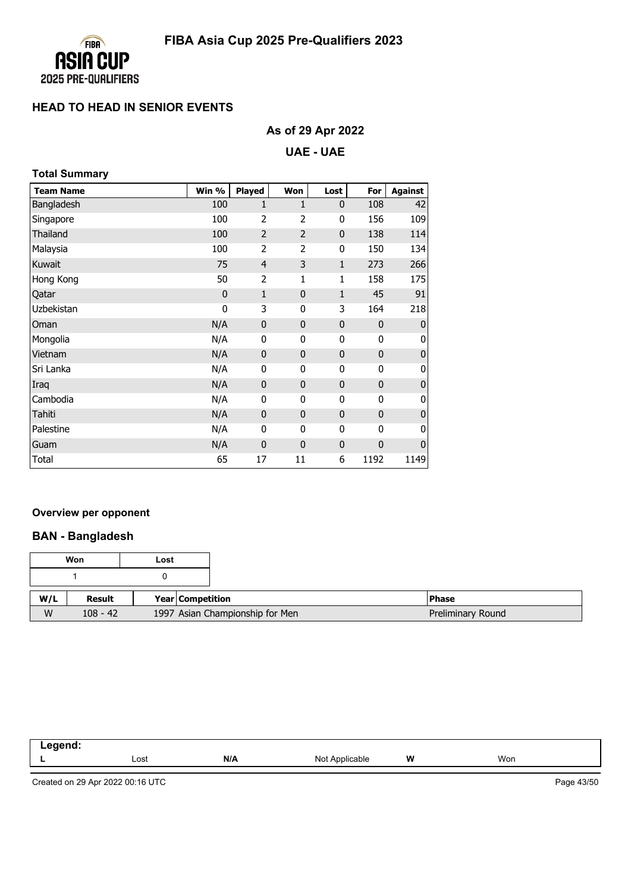

# **As of 29 Apr 2022**

#### **UAE - UAE**

|  | <b>Total Summary</b> |
|--|----------------------|
|--|----------------------|

| <b>Team Name</b> | Win % | Played         | Won            | Lost         | For         | <b>Against</b> |
|------------------|-------|----------------|----------------|--------------|-------------|----------------|
| Bangladesh       | 100   | 1              | 1              | $\mathbf 0$  | 108         | 42             |
| Singapore        | 100   | $\overline{2}$ | 2              | 0            | 156         | 109            |
| Thailand         | 100   | $\overline{2}$ | $\overline{2}$ | $\bf{0}$     | 138         | 114            |
| Malaysia         | 100   | $\overline{2}$ | 2              | 0            | 150         | 134            |
| Kuwait           | 75    | $\overline{4}$ | 3              | $\mathbf{1}$ | 273         | 266            |
| Hong Kong        | 50    | $\overline{2}$ | 1              | 1            | 158         | 175            |
| Qatar            | 0     | $\mathbf{1}$   | $\mathbf{0}$   | $\mathbf{1}$ | 45          | 91             |
| Uzbekistan       | 0     | 3              | 0              | 3            | 164         | 218            |
| Oman             | N/A   | $\pmb{0}$      | $\mathbf{0}$   | $\bf{0}$     | $\mathbf 0$ | $\mathbf 0$    |
| Mongolia         | N/A   | 0              | 0              | 0            | $\mathbf 0$ | 0              |
| Vietnam          | N/A   | $\mathbf 0$    | $\mathbf{0}$   | $\mathbf 0$  | $\mathbf 0$ | $\mathbf 0$    |
| Sri Lanka        | N/A   | 0              | 0              | 0            | $\mathbf 0$ | 0              |
| Iraq             | N/A   | $\pmb{0}$      | $\mathbf{0}$   | $\mathbf 0$  | $\mathbf 0$ | $\mathbf 0$    |
| Cambodia         | N/A   | 0              | 0              | 0            | 0           | 0              |
| Tahiti           | N/A   | $\pmb{0}$      | $\bf{0}$       | $\mathbf 0$  | $\mathbf 0$ | $\mathbf 0$    |
| Palestine        | N/A   | 0              | 0              | 0            | 0           | 0              |
| Guam             | N/A   | $\mathbf 0$    | $\mathbf{0}$   | $\mathbf 0$  | 0           | $\mathbf 0$    |
| Total            | 65    | 17             | 11             | 6            | 1192        | 1149           |

### **Overview per opponent**

### **BAN - Bangladesh**

|     | Won        | Lost |                                 |
|-----|------------|------|---------------------------------|
|     |            |      |                                 |
| W/L | Result     |      | Year Competition                |
| W   | $108 - 42$ |      | 1997 Asian Championship for Men |

| eand<br>-- 3 |      |     |                |   |     |  |
|--------------|------|-----|----------------|---|-----|--|
|              | Lost | N/A | Not Applicable | W | Won |  |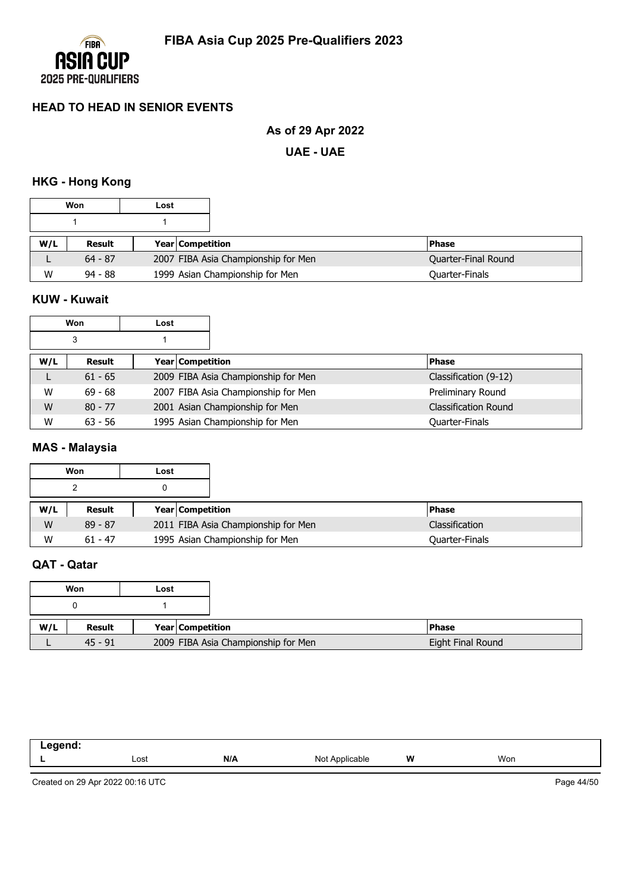

# **As of 29 Apr 2022**

**UAE - UAE**

### **HKG - Hong Kong**

|     | Won       | Lost |                         |                                     |                     |
|-----|-----------|------|-------------------------|-------------------------------------|---------------------|
|     |           |      |                         |                                     |                     |
| W/L | Result    |      | <b>Year Competition</b> |                                     | <b>Phase</b>        |
|     | $64 - 87$ |      |                         | 2007 FIBA Asia Championship for Men | Quarter-Final Round |
| W   | $94 - 88$ |      |                         | 1999 Asian Championship for Men     | Quarter-Finals      |

### **KUW - Kuwait**

|     | Won       | Lost |                  |                                     |                             |
|-----|-----------|------|------------------|-------------------------------------|-----------------------------|
|     | 3         |      |                  |                                     |                             |
| W/L | Result    |      | Year Competition |                                     | <b>Phase</b>                |
|     | $61 - 65$ |      |                  | 2009 FIBA Asia Championship for Men | Classification (9-12)       |
| W   | $69 - 68$ |      |                  | 2007 FIBA Asia Championship for Men | Preliminary Round           |
| W   | $80 - 77$ |      |                  | 2001 Asian Championship for Men     | <b>Classification Round</b> |
| W   | $63 - 56$ |      |                  | 1995 Asian Championship for Men     | <b>Quarter-Finals</b>       |

### **MAS - Malaysia**

|     | Won       | Lost |                         |                                     |                       |
|-----|-----------|------|-------------------------|-------------------------------------|-----------------------|
|     | າ         |      |                         |                                     |                       |
| W/L | Result    |      | <b>Year Competition</b> |                                     | <b>Phase</b>          |
| W   | $89 - 87$ |      |                         | 2011 FIBA Asia Championship for Men | <b>Classification</b> |
| W   | $61 - 47$ |      |                         | 1995 Asian Championship for Men     | Quarter-Finals        |

# **QAT - Qatar**

|     | Won       | Lost |                  |                                     |                   |
|-----|-----------|------|------------------|-------------------------------------|-------------------|
|     |           |      |                  |                                     |                   |
|     |           |      |                  |                                     |                   |
| W/L | Result    |      | Year Competition |                                     | <b>Phase</b>      |
|     | $45 - 91$ |      |                  | 2009 FIBA Asia Championship for Men | Eight Final Round |

| . |      |     |                |   |     |
|---|------|-----|----------------|---|-----|
|   | Lost | N/A | Not Applicable | W | Won |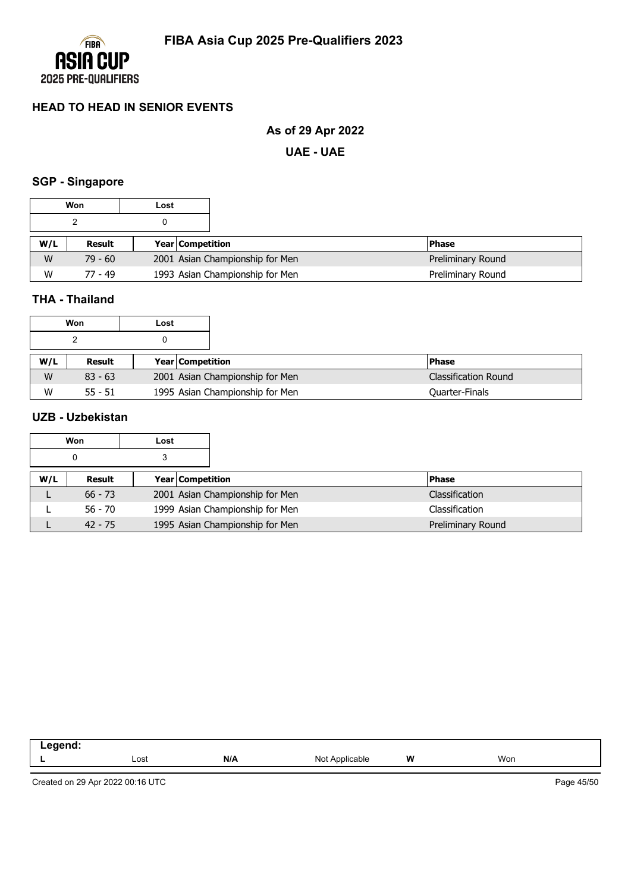

# **As of 29 Apr 2022**

**UAE - UAE**

#### **SGP - Singapore**

|     | Won       | Lost |                                 |                   |
|-----|-----------|------|---------------------------------|-------------------|
|     |           |      |                                 |                   |
| W/L | Result    |      | <b>Year Competition</b>         | <b>Phase</b>      |
| W   | $79 - 60$ |      | 2001 Asian Championship for Men | Preliminary Round |
| W   | 77 - 49   |      | 1993 Asian Championship for Men | Preliminary Round |

## **THA - Thailand**

|     | Won       | Lost |                                 |                             |
|-----|-----------|------|---------------------------------|-----------------------------|
|     |           |      |                                 |                             |
| W/L | Result    |      | <b>Year Competition</b>         | <b>Phase</b>                |
| W   | $83 - 63$ |      | 2001 Asian Championship for Men | <b>Classification Round</b> |
| W   | $55 - 51$ |      | 1995 Asian Championship for Men | <b>Quarter-Finals</b>       |

## **UZB - Uzbekistan**

|     | Won       | Lost |                                 |                   |
|-----|-----------|------|---------------------------------|-------------------|
|     |           |      |                                 |                   |
| W/L | Result    |      | Year Competition                | <b>Phase</b>      |
|     | $66 - 73$ |      | 2001 Asian Championship for Men | Classification    |
|     | $56 - 70$ |      | 1999 Asian Championship for Men | Classification    |
|     | $42 - 75$ |      | 1995 Asian Championship for Men | Preliminary Round |

| - - |      |     |                        |   |     |  |
|-----|------|-----|------------------------|---|-----|--|
|     | Lost | N/A | able<br>៱៲៹<br>$\cdot$ | W | Won |  |
|     |      |     |                        |   |     |  |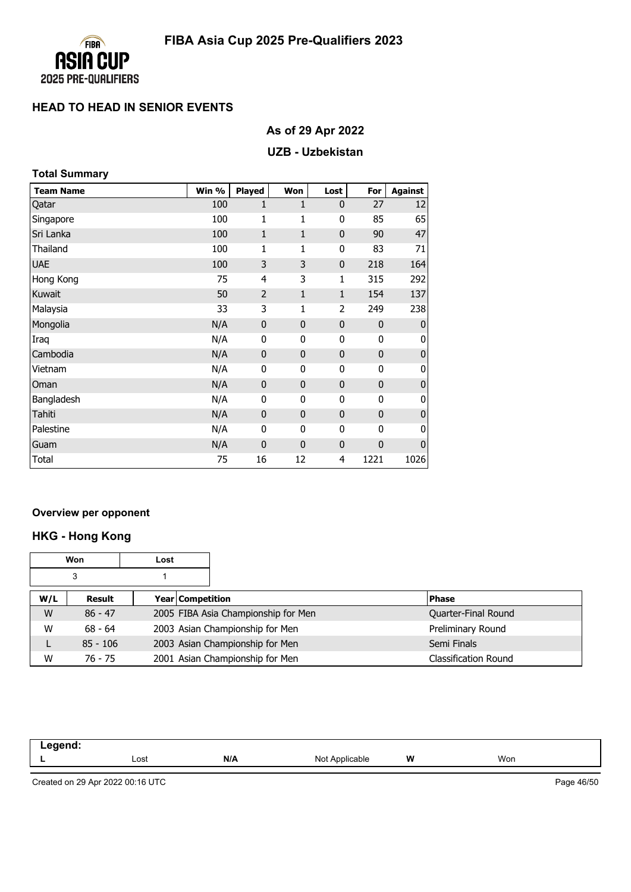

# **As of 29 Apr 2022**

### **UZB - Uzbekistan**

| <b>Total Summary</b> |       |                |             |                |              |                |  |
|----------------------|-------|----------------|-------------|----------------|--------------|----------------|--|
| <b>Team Name</b>     | Win % | Played         | Won         | Lost           | For          | <b>Against</b> |  |
| Qatar                | 100   | 1              | 1           | $\mathbf{0}$   | 27           | 12             |  |
| Singapore            | 100   | $\mathbf{1}$   | 1           | 0              | 85           | 65             |  |
| Sri Lanka            | 100   | $\mathbf{1}$   | $1\,$       | $\mathbf{0}$   | 90           | 47             |  |
| Thailand             | 100   | 1              | 1           | 0              | 83           | 71             |  |
| <b>UAE</b>           | 100   | 3              | 3           | $\mathbf 0$    | 218          | 164            |  |
| Hong Kong            | 75    | $\overline{4}$ | 3           | 1              | 315          | 292            |  |
| Kuwait               | 50    | $\overline{2}$ | $1\,$       | $\mathbf{1}$   | 154          | 137            |  |
| Malaysia             | 33    | 3              | 1           | 2              | 249          | 238            |  |
| Mongolia             | N/A   | $\mathbf 0$    | $\mathbf 0$ | $\mathbf 0$    | $\mathbf{0}$ | 0              |  |
| Iraq                 | N/A   | 0              | 0           | 0              | 0            | 0              |  |
| Cambodia             | N/A   | $\pmb{0}$      | $\mathbf 0$ | $\mathbf 0$    | $\pmb{0}$    | $\pmb{0}$      |  |
| Vietnam              | N/A   | 0              | 0           | 0              | 0            | 0              |  |
| Oman                 | N/A   | $\mathbf 0$    | $\mathbf 0$ | $\mathbf 0$    | $\mathbf 0$  | $\pmb{0}$      |  |
| Bangladesh           | N/A   | 0              | 0           | 0              | 0            | 0              |  |
| Tahiti               | N/A   | 0              | $\mathbf 0$ | $\mathbf 0$    | $\mathbf{0}$ | $\pmb{0}$      |  |
| Palestine            | N/A   | 0              | 0           | 0              | 0            | 0              |  |
| Guam                 | N/A   | $\mathbf 0$    | $\mathbf 0$ | $\mathbf 0$    | $\mathbf 0$  | $\mathbf 0$    |  |
| Total                | 75    | 16             | 12          | $\overline{4}$ | 1221         | 1026           |  |

#### **Overview per opponent**

# **HKG - Hong Kong**

|     | Won        | Lost             |                                     |                             |
|-----|------------|------------------|-------------------------------------|-----------------------------|
|     | 3          |                  |                                     |                             |
| W/L | Result     | Year Competition |                                     | <b>Phase</b>                |
| W   | $86 - 47$  |                  | 2005 FIBA Asia Championship for Men | Quarter-Final Round         |
| W   | $68 - 64$  |                  | 2003 Asian Championship for Men     | Preliminary Round           |
| L   | $85 - 106$ |                  | 2003 Asian Championship for Men     | Semi Finals                 |
| W   | 76 - 75    |                  | 2001 Asian Championship for Men     | <b>Classification Round</b> |

| -----<br>-- -<br>$\sim$ |      |     |                            |   |     |
|-------------------------|------|-----|----------------------------|---|-----|
|                         | Lost | N/A | <b>Not</b><br>: Applicable | W | Won |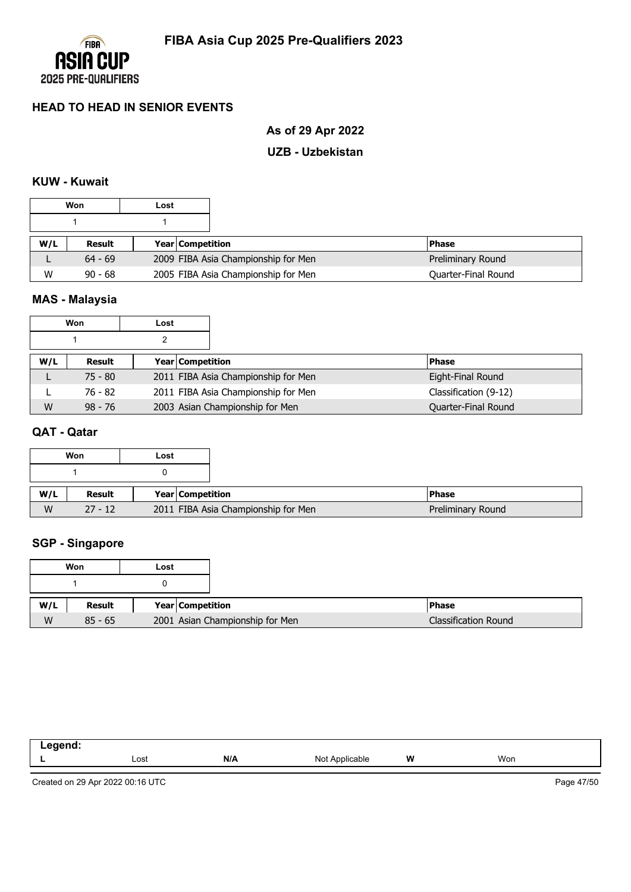

# **As of 29 Apr 2022**

### **UZB - Uzbekistan**

## **KUW - Kuwait**

|     | Won       | Lost |                         |                                     |                     |
|-----|-----------|------|-------------------------|-------------------------------------|---------------------|
|     |           |      |                         |                                     |                     |
| W/L | Result    |      | <b>Year Competition</b> |                                     | l Phase             |
| ட   | $64 - 69$ |      |                         | 2009 FIBA Asia Championship for Men | Preliminary Round   |
| W   | $90 - 68$ |      |                         | 2005 FIBA Asia Championship for Men | Quarter-Final Round |

# **MAS - Malaysia**

|     | Won       | Lost             |                                     |                       |
|-----|-----------|------------------|-------------------------------------|-----------------------|
|     |           |                  |                                     |                       |
| W/L | Result    | Year Competition |                                     | <b>Phase</b>          |
|     | $75 - 80$ |                  | 2011 FIBA Asia Championship for Men | Eight-Final Round     |
|     | 76 - 82   |                  | 2011 FIBA Asia Championship for Men | Classification (9-12) |
| W   | $98 - 76$ |                  | 2003 Asian Championship for Men     | Quarter-Final Round   |

### **QAT - Qatar**

|     | Won       | Lost                                |
|-----|-----------|-------------------------------------|
|     |           |                                     |
|     |           |                                     |
| W/L | Result    | Year Competition                    |
| W   | $27 - 12$ | 2011 FIBA Asia Championship for Men |

# **SGP - Singapore**

|     | Won       | Lost |                                 |                             |
|-----|-----------|------|---------------------------------|-----------------------------|
|     |           |      |                                 |                             |
| W/L | Result    |      | Year Competition                | <b>Phase</b>                |
| W   | $85 - 65$ |      | 2001 Asian Championship for Men | <b>Classification Round</b> |

| .<br>. |      |     |                          |   |     |
|--------|------|-----|--------------------------|---|-----|
| -      | Lost | N/A | Not<br>plicable<br>11017 | W | Won |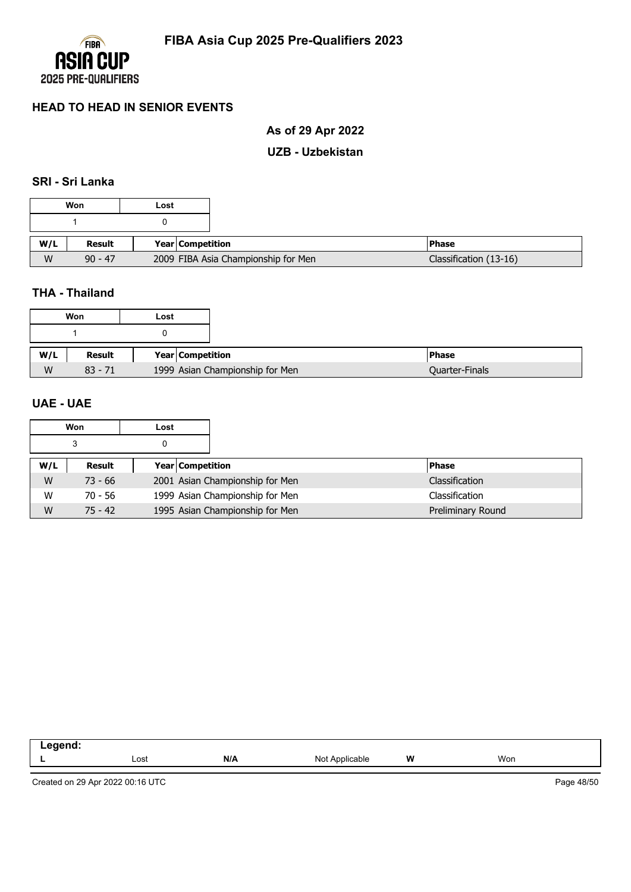

# **As of 29 Apr 2022**

### **UZB - Uzbekistan**

### **SRI - Sri Lanka**

|     | Won       | Lost |                                     |                        |
|-----|-----------|------|-------------------------------------|------------------------|
|     |           |      |                                     |                        |
| W/L | Result    |      | Year Competition                    | <b>Phase</b>           |
| W   | $90 - 47$ |      | 2009 FIBA Asia Championship for Men | Classification (13-16) |

### **THA - Thailand**

| Won       | Lost |                                 |
|-----------|------|---------------------------------|
|           |      |                                 |
|           |      |                                 |
| Result    |      | Year Competition                |
| $83 - 71$ |      | 1999 Asian Championship for Men |

### **UAE - UAE**

|     | Won       | Lost |                                 |                   |
|-----|-----------|------|---------------------------------|-------------------|
|     | 3         |      |                                 |                   |
| W/L | Result    |      | Year Competition                | <b>Phase</b>      |
| W   | $73 - 66$ |      | 2001 Asian Championship for Men | Classification    |
| W   | 70 - 56   |      | 1999 Asian Championship for Men | Classification    |
| W   | $75 - 42$ |      | 1995 Asian Championship for Men | Preliminary Round |

| -- - |      |     |                                |   |     |
|------|------|-----|--------------------------------|---|-----|
|      | Lost | N/A | <b>Not</b><br>Applicable<br>◥◡ | W | Won |
|      |      |     |                                |   |     |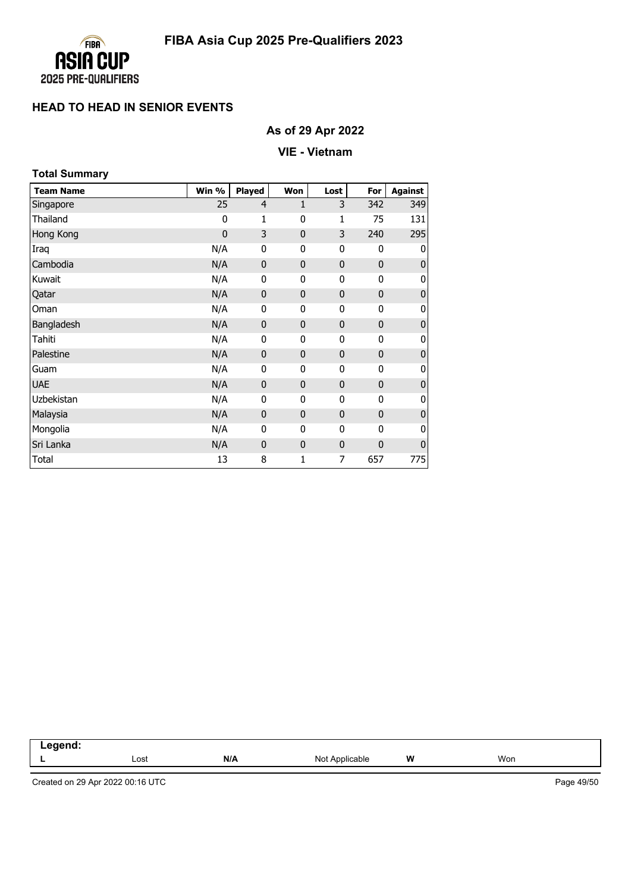

# **As of 29 Apr 2022**

### **VIE - Vietnam**

| <b>Total Summary</b> |             |                |              |             |              |                  |
|----------------------|-------------|----------------|--------------|-------------|--------------|------------------|
| <b>Team Name</b>     | Win %       | <b>Played</b>  | Won          | Lost        | For          | Against          |
| Singapore            | 25          | $\overline{4}$ | 1            | 3           | 342          | 349              |
| Thailand             | 0           | 1              | 0            | 1           | 75           | 131              |
| Hong Kong            | $\mathbf 0$ | 3              | $\mathbf{0}$ | 3           | 240          | 295              |
| Iraq                 | N/A         | 0              | 0            | 0           | $\mathbf{0}$ | 0                |
| Cambodia             | N/A         | $\mathbf 0$    | $\mathbf 0$  | $\mathbf 0$ | $\mathbf 0$  | $\pmb{0}$        |
| Kuwait               | N/A         | 0              | 0            | 0           | 0            | 0                |
| Qatar                | N/A         | $\mathbf 0$    | $\mathbf{0}$ | $\mathbf 0$ | $\mathbf 0$  | $\boldsymbol{0}$ |
| Oman                 | N/A         | 0              | 0            | 0           | 0            | 0                |
| Bangladesh           | N/A         | $\mathbf 0$    | $\mathbf{0}$ | 0           | $\mathbf 0$  | $\pmb{0}$        |
| Tahiti               | N/A         | 0              | 0            | 0           | 0            | 0                |
| Palestine            | N/A         | $\mathbf 0$    | $\mathbf{0}$ | 0           | $\mathbf 0$  | $\bf 0$          |
| Guam                 | N/A         | $\mathbf 0$    | 0            | 0           | $\mathbf 0$  | 0                |
| <b>UAE</b>           | N/A         | $\mathbf 0$    | $\mathbf{0}$ | $\mathbf 0$ | $\mathbf 0$  | $\pmb{0}$        |
| Uzbekistan           | N/A         | 0              | 0            | 0           | $\mathbf 0$  | 0                |
| Malaysia             | N/A         | $\mathbf 0$    | $\mathbf{0}$ | 0           | $\mathbf 0$  | $\bf 0$          |
| Mongolia             | N/A         | 0              | 0            | 0           | $\mathbf 0$  | 0                |
| Sri Lanka            | N/A         | $\mathbf 0$    | $\mathbf{0}$ | $\mathbf 0$ | $\mathbf 0$  | $\bf{0}$         |
| Total                | 13          | 8              | 1            | 7           | 657          | 775              |

| -----<br>--<br>---<br>____ |      |     |                   |   |     |  |
|----------------------------|------|-----|-------------------|---|-----|--|
|                            | Lost | N/A | Applicable<br>Not | W | Won |  |